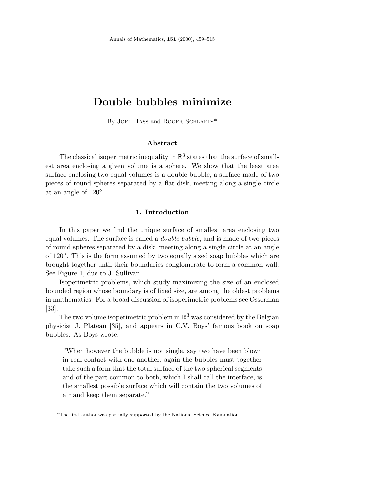# **Double bubbles minimize**

By JOEL HASS and ROGER SCHLAFLY\*

## **Abstract**

The classical isoperimetric inequality in  $\mathbb{R}^3$  states that the surface of smallest area enclosing a given volume is a sphere. We show that the least area surface enclosing two equal volumes is a double bubble, a surface made of two pieces of round spheres separated by a flat disk, meeting along a single circle at an angle of 120◦.

## **1. Introduction**

In this paper we find the unique surface of smallest area enclosing two equal volumes. The surface is called a double bubble, and is made of two pieces of round spheres separated by a disk, meeting along a single circle at an angle of 120◦. This is the form assumed by two equally sized soap bubbles which are brought together until their boundaries conglomerate to form a common wall. See Figure 1, due to J. Sullivan.

Isoperimetric problems, which study maximizing the size of an enclosed bounded region whose boundary is of fixed size, are among the oldest problems in mathematics. For a broad discussion of isoperimetric problems see Osserman [33].

The two volume isoperimetric problem in  $\mathbb{R}^3$  was considered by the Belgian physicist J. Plateau [35], and appears in C.V. Boys' famous book on soap bubbles. As Boys wrote,

"When however the bubble is not single, say two have been blown in real contact with one another, again the bubbles must together take such a form that the total surface of the two spherical segments and of the part common to both, which I shall call the interface, is the smallest possible surface which will contain the two volumes of air and keep them separate."

<sup>∗</sup>The first author was partially supported by the National Science Foundation.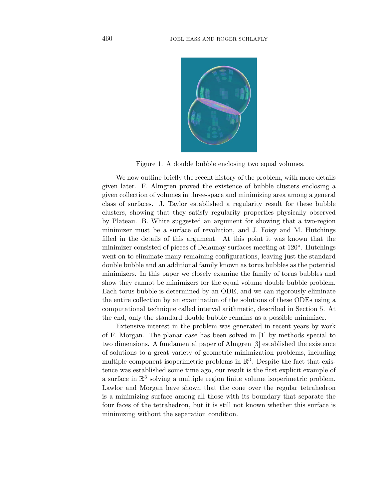

Figure 1. A double bubble enclosing two equal volumes.

We now outline briefly the recent history of the problem, with more details given later. F. Almgren proved the existence of bubble clusters enclosing a given collection of volumes in three-space and minimizing area among a general class of surfaces. J. Taylor established a regularity result for these bubble clusters, showing that they satisfy regularity properties physically observed by Plateau. B. White suggested an argument for showing that a two-region minimizer must be a surface of revolution, and J. Foisy and M. Hutchings filled in the details of this argument. At this point it was known that the minimizer consisted of pieces of Delaunay surfaces meeting at 120◦. Hutchings went on to eliminate many remaining configurations, leaving just the standard double bubble and an additional family known as torus bubbles as the potential minimizers. In this paper we closely examine the family of torus bubbles and show they cannot be minimizers for the equal volume double bubble problem. Each torus bubble is determined by an ODE, and we can rigorously eliminate the entire collection by an examination of the solutions of these ODEs using a computational technique called interval arithmetic, described in Section 5. At the end, only the standard double bubble remains as a possible minimizer.

Extensive interest in the problem was generated in recent years by work of F. Morgan. The planar case has been solved in [1] by methods special to two dimensions. A fundamental paper of Almgren [3] established the existence of solutions to a great variety of geometric minimization problems, including multiple component isoperimetric problems in  $\mathbb{R}^3$ . Despite the fact that existence was established some time ago, our result is the first explicit example of a surface in  $\mathbb{R}^3$  solving a multiple region finite volume isoperimetric problem. Lawlor and Morgan have shown that the cone over the regular tetrahedron is a minimizing surface among all those with its boundary that separate the four faces of the tetrahedron, but it is still not known whether this surface is minimizing without the separation condition.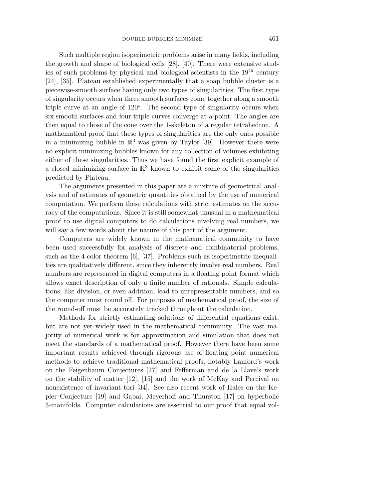Such multiple region isoperimetric problems arise in many fields, including the growth and shape of biological cells [28], [40]. There were extensive studies of such problems by physical and biological scientists in the  $19<sup>th</sup>$  century [24], [35]. Plateau established experimentally that a soap bubble cluster is a piecewise-smooth surface having only two types of singularities. The first type of singularity occurs when three smooth surfaces come together along a smooth triple curve at an angle of 120◦. The second type of singularity occurs when six smooth surfaces and four triple curves converge at a point. The angles are then equal to those of the cone over the 1-skeleton of a regular tetrahedron. A mathematical proof that these types of singularities are the only ones possible in a minimizing bubble in  $\mathbb{R}^3$  was given by Taylor [39]. However there were no explicit minimizing bubbles known for any collection of volumes exhibiting either of these singularities. Thus we have found the first explicit example of a closed minimizing surface in  $\mathbb{R}^3$  known to exhibit some of the singularities predicted by Plateau.

The arguments presented in this paper are a mixture of geometrical analysis and of estimates of geometric quantities obtained by the use of numerical computation. We perform these calculations with strict estimates on the accuracy of the computations. Since it is still somewhat unusual in a mathematical proof to use digital computers to do calculations involving real numbers, we will say a few words about the nature of this part of the argument.

Computers are widely known in the mathematical community to have been used successfully for analysis of discrete and combinatorial problems, such as the 4-color theorem [6], [37]. Problems such as isoperimetric inequalities are qualitatively different, since they inherently involve real numbers. Real numbers are represented in digital computers in a floating point format which allows exact description of only a finite number of rationals. Simple calculations, like division, or even addition, lead to unrepresentable numbers, and so the computer must round off. For purposes of mathematical proof, the size of the round-off must be accurately tracked throughout the calculation.

Methods for strictly estimating solutions of differential equations exist, but are not yet widely used in the mathematical community. The vast majority of numerical work is for approximation and simulation that does not meet the standards of a mathematical proof. However there have been some important results achieved through rigorous use of floating point numerical methods to achieve traditional mathematical proofs, notably Lanford's work on the Feigenbaum Conjectures [27] and Fefferman and de la Llave's work on the stability of matter [12], [15] and the work of McKay and Percival on nonexistence of invariant tori [34]. See also recent work of Hales on the Kepler Conjecture [19] and Gabai, Meyerhoff and Thurston [17] on hyperbolic 3-manifolds. Computer calculations are essential to our proof that equal vol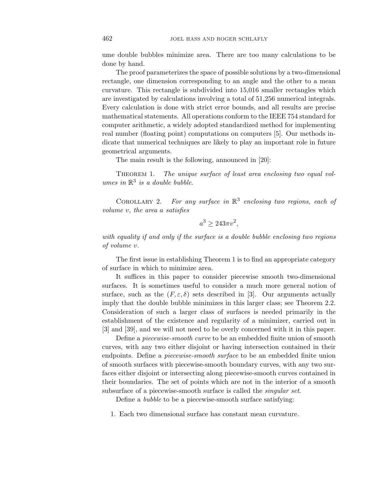ume double bubbles minimize area. There are too many calculations to be done by hand.

The proof parameterizes the space of possible solutions by a two-dimensional rectangle, one dimension corresponding to an angle and the other to a mean curvature. This rectangle is subdivided into 15,016 smaller rectangles which are investigated by calculations involving a total of 51,256 numerical integrals. Every calculation is done with strict error bounds, and all results are precise mathematical statements. All operations conform to the IEEE 754 standard for computer arithmetic, a widely adopted standardized method for implementing real number (floating point) computations on computers [5]. Our methods indicate that numerical techniques are likely to play an important role in future geometrical arguments.

The main result is the following, announced in [20]:

THEOREM 1. The unique surface of least area enclosing two equal volumes in  $\mathbb{R}^3$  is a double bubble.

COROLLARY 2. For any surface in  $\mathbb{R}^3$  enclosing two regions, each of volume *v*, the area *a* satisfies

$$
a^3 \ge 243\pi v^2,
$$

with equality if and only if the surface is a double bubble enclosing two regions of volume *v*.

The first issue in establishing Theorem 1 is to find an appropriate category of surface in which to minimize area.

It suffices in this paper to consider piecewise smooth two-dimensional surfaces. It is sometimes useful to consider a much more general notion of surface, such as the  $(F, \varepsilon, \delta)$  sets described in [3]. Our arguments actually imply that the double bubble minimizes in this larger class; see Theorem 2.2. Consideration of such a larger class of surfaces is needed primarily in the establishment of the existence and regularity of a minimizer, carried out in [3] and [39], and we will not need to be overly concerned with it in this paper.

Define a piecewise-smooth curve to be an embedded finite union of smooth curves, with any two either disjoint or having intersection contained in their endpoints. Define a *piecewise-smooth surface* to be an embedded finite union of smooth surfaces with piecewise-smooth boundary curves, with any two surfaces either disjoint or intersecting along piecewise-smooth curves contained in their boundaries. The set of points which are not in the interior of a smooth subsurface of a piecewise-smooth surface is called the *singular set*.

Define a bubble to be a piecewise-smooth surface satisfying:

1. Each two dimensional surface has constant mean curvature.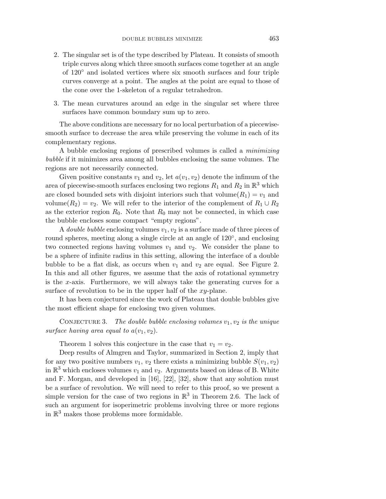- 2. The singular set is of the type described by Plateau. It consists of smooth triple curves along which three smooth surfaces come together at an angle of 120◦ and isolated vertices where six smooth surfaces and four triple curves converge at a point. The angles at the point are equal to those of the cone over the 1-skeleton of a regular tetrahedron.
- 3. The mean curvatures around an edge in the singular set where three surfaces have common boundary sum up to zero.

The above conditions are necessary for no local perturbation of a piecewisesmooth surface to decrease the area while preserving the volume in each of its complementary regions.

A bubble enclosing regions of prescribed volumes is called a minimizing bubble if it minimizes area among all bubbles enclosing the same volumes. The regions are not necessarily connected.

Given positive constants  $v_1$  and  $v_2$ , let  $a(v_1, v_2)$  denote the infimum of the area of piecewise-smooth surfaces enclosing two regions  $R_1$  and  $R_2$  in  $\mathbb{R}^3$  which are closed bounded sets with disjoint interiors such that volume $(R_1) = v_1$  and volume( $R_2$ ) =  $v_2$ . We will refer to the interior of the complement of  $R_1 \cup R_2$ as the exterior region  $R_0$ . Note that  $R_0$  may not be connected, in which case the bubble encloses some compact "empty regions".

A *double bubble* enclosing volumes  $v_1, v_2$  is a surface made of three pieces of round spheres, meeting along a single circle at an angle of 120◦, and enclosing two connected regions having volumes  $v_1$  and  $v_2$ . We consider the plane to be a sphere of infinite radius in this setting, allowing the interface of a double bubble to be a flat disk, as occurs when  $v_1$  and  $v_2$  are equal. See Figure 2. In this and all other figures, we assume that the axis of rotational symmetry is the *x*-axis. Furthermore, we will always take the generating curves for a surface of revolution to be in the upper half of the *xy*-plane.

It has been conjectured since the work of Plateau that double bubbles give the most efficient shape for enclosing two given volumes.

CONJECTURE 3. The double bubble enclosing volumes  $v_1, v_2$  is the unique surface having area equal to  $a(v_1, v_2)$ .

Theorem 1 solves this conjecture in the case that  $v_1 = v_2$ .

Deep results of Almgren and Taylor, summarized in Section 2, imply that for any two positive numbers  $v_1, v_2$  there exists a minimizing bubble  $S(v_1, v_2)$ in  $\mathbb{R}^3$  which encloses volumes  $v_1$  and  $v_2$ . Arguments based on ideas of B. White and F. Morgan, and developed in [16], [22], [32], show that any solution must be a surface of revolution. We will need to refer to this proof, so we present a simple version for the case of two regions in  $\mathbb{R}^3$  in Theorem 2.6. The lack of such an argument for isoperimetric problems involving three or more regions in  $\mathbb{R}^3$  makes those problems more formidable.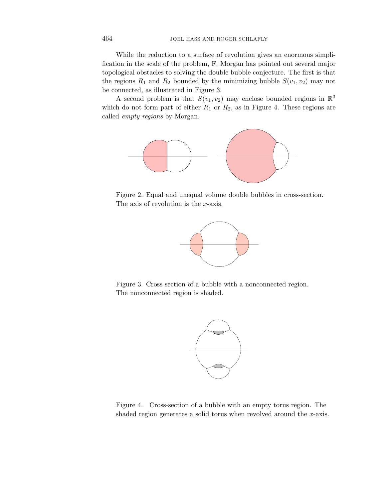While the reduction to a surface of revolution gives an enormous simplification in the scale of the problem, F. Morgan has pointed out several major topological obstacles to solving the double bubble conjecture. The first is that the regions  $R_1$  and  $R_2$  bounded by the minimizing bubble  $S(v_1, v_2)$  may not be connected, as illustrated in Figure 3.

A second problem is that  $S(v_1, v_2)$  may enclose bounded regions in  $\mathbb{R}^3$ which do not form part of either  $R_1$  or  $R_2$ , as in Figure 4. These regions are called empty regions by Morgan.



Figure 2. Equal and unequal volume double bubbles in cross-section. The axis of revolution is the *x*-axis.



Figure 3. Cross-section of a bubble with a nonconnected region. The nonconnected region is shaded.



Figure 4. Cross-section of a bubble with an empty torus region. The shaded region generates a solid torus when revolved around the *x*-axis.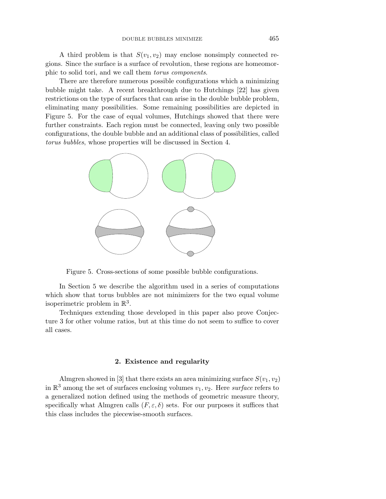A third problem is that  $S(v_1, v_2)$  may enclose nonsimply connected regions. Since the surface is a surface of revolution, these regions are homeomorphic to solid tori, and we call them torus components.

There are therefore numerous possible configurations which a minimizing bubble might take. A recent breakthrough due to Hutchings [22] has given restrictions on the type of surfaces that can arise in the double bubble problem, eliminating many possibilities. Some remaining possibilities are depicted in Figure 5. For the case of equal volumes, Hutchings showed that there were further constraints. Each region must be connected, leaving only two possible configurations, the double bubble and an additional class of possibilities, called torus bubbles, whose properties will be discussed in Section 4.



Figure 5. Cross-sections of some possible bubble configurations.

In Section 5 we describe the algorithm used in a series of computations which show that torus bubbles are not minimizers for the two equal volume isoperimetric problem in  $\mathbb{R}^3$ .

Techniques extending those developed in this paper also prove Conjecture 3 for other volume ratios, but at this time do not seem to suffice to cover all cases.

#### **2. Existence and regularity**

Almgren showed in [3] that there exists an area minimizing surface  $S(v_1, v_2)$ in  $\mathbb{R}^3$  among the set of surfaces enclosing volumes  $v_1, v_2$ . Here *surface* refers to a generalized notion defined using the methods of geometric measure theory, specifically what Almgren calls  $(F, \varepsilon, \delta)$  sets. For our purposes it suffices that this class includes the piecewise-smooth surfaces.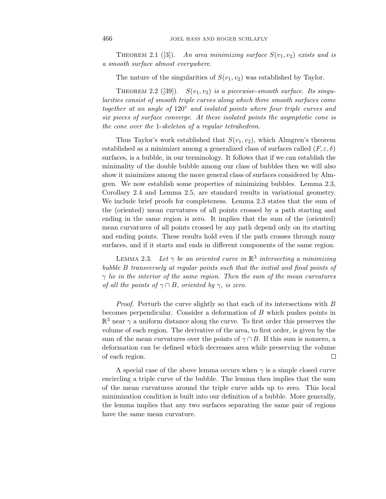THEOREM 2.1 ([3]). An area minimizing surface  $S(v_1, v_2)$  exists and is a smooth surface almost everywhere.

The nature of the singularities of  $S(v_1, v_2)$  was established by Taylor.

THEOREM 2.2 ([39]).  $S(v_1, v_2)$  is a piecewise-smooth surface. Its singularities consist of smooth triple curves along which three smooth surfaces come together at an angle of  $120°$  and isolated points where four triple curves and six pieces of surface converge. At these isolated points the asymptotic cone is the cone over the 1-skeleton of a regular tetrahedron.

Thus Taylor's work established that  $S(v_1, v_2)$ , which Almgren's theorem established as a minimizer among a generalized class of surfaces called  $(F, \varepsilon, \delta)$ surfaces, is a bubble, in our terminology. It follows that if we can establish the minimality of the double bubble among our class of bubbles then we will also show it minimizes among the more general class of surfaces considered by Almgren. We now establish some properties of minimizing bubbles. Lemma 2.3, Corollary 2.4 and Lemma 2.5, are standard results in variational geometry. We include brief proofs for completeness. Lemma 2.3 states that the sum of the (oriented) mean curvatures of all points crossed by a path starting and ending in the same region is zero. It implies that the sum of the (oriented) mean curvatures of all points crossed by any path depend only on its starting and ending points. These results hold even if the path crosses through many surfaces, and if it starts and ends in different components of the same region.

LEMMA 2.3. Let  $\gamma$  be an oriented curve in  $\mathbb{R}^3$  intersecting a minimizing bubble *B* transversely at regular points such that the initial and final points of *γ* lie in the interior of the same region. Then the sum of the mean curvatures of all the points of  $\gamma \cap B$ , oriented by  $\gamma$ , is zero.

Proof. Perturb the curve slightly so that each of its intersections with *B* becomes perpendicular. Consider a deformation of *B* which pushes points in  $\mathbb{R}^3$  near  $\gamma$  a uniform distance along the curve. To first order this preserves the volume of each region. The derivative of the area, to first order, is given by the sum of the mean curvatures over the points of  $\gamma \cap B$ . If this sum is nonzero, a deformation can be defined which decreases area while preserving the volume of each region.  $\Box$ 

A special case of the above lemma occurs when  $\gamma$  is a simple closed curve encircling a triple curve of the bubble. The lemma then implies that the sum of the mean curvatures around the triple curve adds up to zero. This local minimization condition is built into our definition of a bubble. More generally, the lemma implies that any two surfaces separating the same pair of regions have the same mean curvature.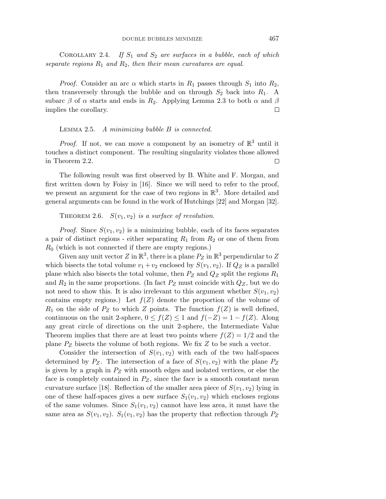COROLLARY 2.4. If  $S_1$  and  $S_2$  are surfaces in a bubble, each of which separate regions  $R_1$  and  $R_2$ , then their mean curvatures are equal.

*Proof.* Consider an arc  $\alpha$  which starts in  $R_1$  passes through  $S_1$  into  $R_2$ , then transversely through the bubble and on through  $S_2$  back into  $R_1$ . A subarc  $\beta$  of  $\alpha$  starts and ends in  $R_2$ . Applying Lemma 2.3 to both  $\alpha$  and  $\beta$ implies the corollary.  $\Box$ 

# Lemma 2.5. A minimizing bubble *B* is connected.

*Proof.* If not, we can move a component by an isometry of  $\mathbb{R}^3$  until it touches a distinct component. The resulting singularity violates those allowed in Theorem 2.2.  $\Box$ 

The following result was first observed by B. White and F. Morgan, and first written down by Foisy in [16]. Since we will need to refer to the proof, we present an argument for the case of two regions in  $\mathbb{R}^3$ . More detailed and general arguments can be found in the work of Hutchings [22] and Morgan [32].

THEOREM 2.6.  $S(v_1, v_2)$  is a surface of revolution.

*Proof.* Since  $S(v_1, v_2)$  is a minimizing bubble, each of its faces separates a pair of distinct regions - either separating *R*<sup>1</sup> from *R*<sup>2</sup> or one of them from *R*<sup>0</sup> (which is not connected if there are empty regions.)

Given any unit vector  $Z$  in  $\mathbb{R}^3$ , there is a plane  $P_Z$  in  $\mathbb{R}^3$  perpendicular to  $Z$ which bisects the total volume  $v_1 + v_2$  enclosed by  $S(v_1, v_2)$ . If  $Q_Z$  is a parallel plane which also bisects the total volume, then *P<sup>Z</sup>* and *Q<sup>Z</sup>* split the regions *R*<sup>1</sup> and  $R_2$  in the same proportions. (In fact  $P_Z$  must coincide with  $Q_Z$ , but we do not need to show this. It is also irrelevant to this argument whether  $S(v_1, v_2)$ contains empty regions.) Let  $f(Z)$  denote the proportion of the volume of  $R_1$  on the side of  $P_Z$  to which *Z* points. The function  $f(Z)$  is well defined, continuous on the unit 2-sphere,  $0 \le f(Z) \le 1$  and  $f(-Z) = 1 - f(Z)$ . Along any great circle of directions on the unit 2-sphere, the Intermediate Value Theorem implies that there are at least two points where  $f(Z)=1/2$  and the plane *P<sup>Z</sup>* bisects the volume of both regions. We fix *Z* to be such a vector.

Consider the intersection of  $S(v_1, v_2)$  with each of the two half-spaces determined by  $P_Z$ . The intersection of a face of  $S(v_1, v_2)$  with the plane  $P_Z$ is given by a graph in *P<sup>Z</sup>* with smooth edges and isolated vertices, or else the face is completely contained in  $P_Z$ , since the face is a smooth constant mean curvature surface [18]. Reflection of the smaller area piece of  $S(v_1, v_2)$  lying in one of these half-spaces gives a new surface  $S_1(v_1, v_2)$  which encloses regions of the same volumes. Since  $S_1(v_1, v_2)$  cannot have less area, it must have the same area as  $S(v_1, v_2)$ .  $S_1(v_1, v_2)$  has the property that reflection through  $P_Z$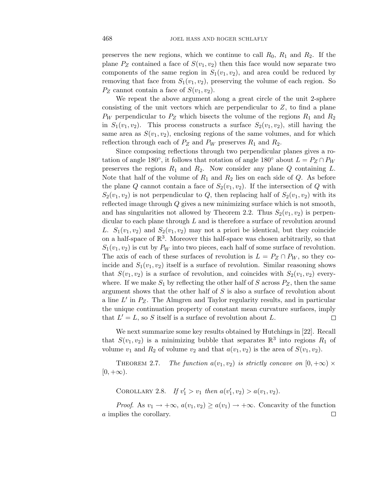preserves the new regions, which we continue to call  $R_0$ ,  $R_1$  and  $R_2$ . If the plane  $P_Z$  contained a face of  $S(v_1, v_2)$  then this face would now separate two components of the same region in  $S_1(v_1, v_2)$ , and area could be reduced by removing that face from  $S_1(v_1, v_2)$ , preserving the volume of each region. So  $P_Z$  cannot contain a face of  $S(v_1, v_2)$ .

We repeat the above argument along a great circle of the unit 2-sphere consisting of the unit vectors which are perpendicular to *Z*, to find a plane  $P_W$  perpendicular to  $P_Z$  which bisects the volume of the regions  $R_1$  and  $R_2$ in  $S_1(v_1, v_2)$ . This process constructs a surface  $S_2(v_1, v_2)$ , still having the same area as  $S(v_1, v_2)$ , enclosing regions of the same volumes, and for which reflection through each of  $P_Z$  and  $P_W$  preserves  $R_1$  and  $R_2$ .

Since composing reflections through two perpendicular planes gives a rotation of angle 180<sup>°</sup>, it follows that rotation of angle 180<sup>°</sup> about  $L = P_Z \cap P_W$ preserves the regions *R*<sup>1</sup> and *R*2. Now consider any plane *Q* containing *L*. Note that half of the volume of *R*<sup>1</sup> and *R*<sup>2</sup> lies on each side of *Q*. As before the plane *Q* cannot contain a face of  $S_2(v_1, v_2)$ . If the intersection of *Q* with  $S_2(v_1, v_2)$  is not perpendicular to *Q*, then replacing half of  $S_2(v_1, v_2)$  with its reflected image through *Q* gives a new minimizing surface which is not smooth, and has singularities not allowed by Theorem 2.2. Thus  $S_2(v_1, v_2)$  is perpendicular to each plane through *L* and is therefore a surface of revolution around *L.*  $S_1(v_1, v_2)$  and  $S_2(v_1, v_2)$  may not a priori be identical, but they coincide on a half-space of  $\mathbb{R}^3$ . Moreover this half-space was chosen arbitrarily, so that  $S_1(v_1, v_2)$  is cut by  $P_W$  into two pieces, each half of some surface of revolution. The axis of each of these surfaces of revolution is  $L = P_Z \cap P_W$ , so they coincide and  $S_1(v_1, v_2)$  itself is a surface of revolution. Similar reasoning shows that  $S(v_1, v_2)$  is a surface of revolution, and coincides with  $S_2(v_1, v_2)$  everywhere. If we make  $S_1$  by reflecting the other half of  $S$  across  $P_Z$ , then the same argument shows that the other half of *S* is also a surface of revolution about a line  $L'$  in  $P_Z$ . The Almgren and Taylor regularity results, and in particular the unique continuation property of constant mean curvature surfaces, imply that  $L' = L$ , so *S* itself is a surface of revolution about *L*.  $\Box$ 

We next summarize some key results obtained by Hutchings in [22]. Recall that  $S(v_1, v_2)$  is a minimizing bubble that separates  $\mathbb{R}^3$  into regions  $R_1$  of volume  $v_1$  and  $R_2$  of volume  $v_2$  and that  $a(v_1, v_2)$  is the area of  $S(v_1, v_2)$ .

THEOREM 2.7. The function  $a(v_1, v_2)$  is strictly concave on  $[0, +\infty) \times$  $[0, +\infty).$ 

COROLLARY 2.8. If  $v'_1 > v_1$  then  $a(v'_1, v_2) > a(v_1, v_2)$ .

*Proof.* As  $v_1 \rightarrow +\infty$ ,  $a(v_1, v_2) \ge a(v_1) \rightarrow +\infty$ . Concavity of the function *a* implies the corollary. $\Box$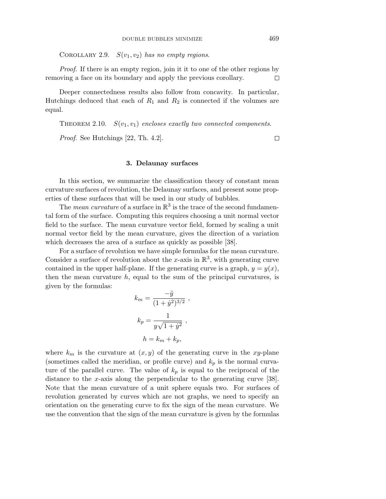COROLLARY 2.9.  $S(v_1, v_2)$  has no empty regions.

Proof. If there is an empty region, join it it to one of the other regions by removing a face on its boundary and apply the previous corollary.  $\Box$ 

Deeper connectedness results also follow from concavity. In particular, Hutchings deduced that each of *R*<sup>1</sup> and *R*<sup>2</sup> is connected if the volumes are equal.

THEOREM 2.10.  $S(v_1, v_1)$  encloses exactly two connected components.

Proof. See Hutchings [22, Th. 4.2].

#### $\Box$

# **3. Delaunay surfaces**

In this section, we summarize the classification theory of constant mean curvature surfaces of revolution, the Delaunay surfaces, and present some properties of these surfaces that will be used in our study of bubbles.

The mean curvature of a surface in  $\mathbb{R}^3$  is the trace of the second fundamental form of the surface. Computing this requires choosing a unit normal vector field to the surface. The mean curvature vector field, formed by scaling a unit normal vector field by the mean curvature, gives the direction of a variation which decreases the area of a surface as quickly as possible [38].

For a surface of revolution we have simple formulas for the mean curvature. Consider a surface of revolution about the *x*-axis in  $\mathbb{R}^3$ , with generating curve contained in the upper half-plane. If the generating curve is a graph,  $y = y(x)$ , then the mean curvature  $h$ , equal to the sum of the principal curvatures, is given by the formulas:

$$
k_m = \frac{-\ddot{y}}{(1+\dot{y}^2)^{3/2}},
$$
  

$$
k_p = \frac{1}{y\sqrt{1+\dot{y}^2}},
$$
  

$$
h = k_m + k_p,
$$

where  $k_m$  is the curvature at  $(x, y)$  of the generating curve in the *xy*-plane (sometimes called the meridian, or profile curve) and  $k_p$  is the normal curvature of the parallel curve. The value of  $k_p$  is equal to the reciprocal of the distance to the *x*-axis along the perpendicular to the generating curve [38]. Note that the mean curvature of a unit sphere equals two. For surfaces of revolution generated by curves which are not graphs, we need to specify an orientation on the generating curve to fix the sign of the mean curvature. We use the convention that the sign of the mean curvature is given by the formulas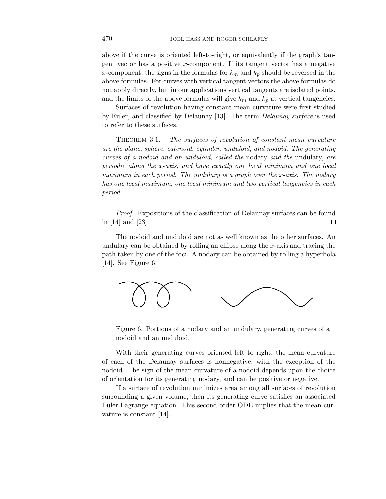above if the curve is oriented left-to-right, or equivalently if the graph's tangent vector has a positive *x*-component. If its tangent vector has a negative *x*-component, the signs in the formulas for  $k_m$  and  $k_p$  should be reversed in the above formulas. For curves with vertical tangent vectors the above formulas do not apply directly, but in our applications vertical tangents are isolated points, and the limits of the above formulas will give  $k_m$  and  $k_p$  at vertical tangencies.

Surfaces of revolution having constant mean curvature were first studied by Euler, and classified by Delaunay [13]. The term Delaunay surface is used to refer to these surfaces.

THEOREM 3.1. The surfaces of revolution of constant mean curvature are the plane, sphere, catenoid, cylinder, unduloid, and nodoid. The generating curves of a nodoid and an unduloid, called the nodary and the undulary, are periodic along the *x*-axis, and have exactly one local minimum and one local maximum in each period. The undulary is a graph over the *x*-axis. The nodary has one local maximum, one local minimum and two vertical tangencies in each period.

Proof. Expositions of the classification of Delaunay surfaces can be found in [14] and [23].  $\Box$ 

The nodoid and unduloid are not as well known as the other surfaces. An undulary can be obtained by rolling an ellipse along the *x*-axis and tracing the path taken by one of the foci. A nodary can be obtained by rolling a hyperbola [14]. See Figure 6.



Figure 6. Portions of a nodary and an undulary, generating curves of a nodoid and an unduloid.

With their generating curves oriented left to right, the mean curvature of each of the Delaunay surfaces is nonnegative, with the exception of the nodoid. The sign of the mean curvature of a nodoid depends upon the choice of orientation for its generating nodary, and can be positive or negative.

If a surface of revolution minimizes area among all surfaces of revolution surrounding a given volume, then its generating curve satisfies an associated Euler-Lagrange equation. This second order ODE implies that the mean curvature is constant [14].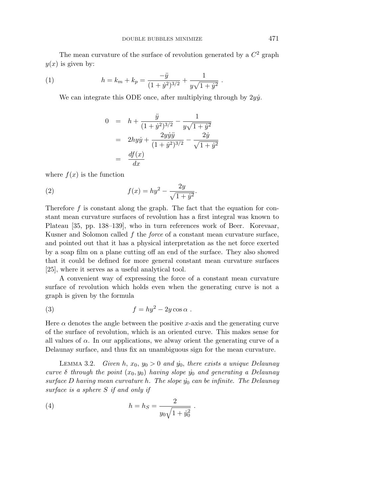The mean curvature of the surface of revolution generated by a  $C<sup>2</sup>$  graph  $y(x)$  is given by:

(1) 
$$
h = k_m + k_p = \frac{-\ddot{y}}{(1 + \dot{y}^2)^{3/2}} + \frac{1}{y\sqrt{1 + \dot{y}^2}}.
$$

We can integrate this ODE once, after multiplying through by  $2y\dot{y}$ .

$$
0 = h + \frac{\ddot{y}}{(1 + \dot{y}^2)^{3/2}} - \frac{1}{y\sqrt{1 + \dot{y}^2}}
$$
  
=  $2hy\dot{y} + \frac{2y\dot{y}\ddot{y}}{(1 + \dot{y}^2)^{3/2}} - \frac{2\dot{y}}{\sqrt{1 + \dot{y}^2}}$   
=  $\frac{df(x)}{dx}$ 

where  $f(x)$  is the function

(2) 
$$
f(x) = hy^2 - \frac{2y}{\sqrt{1+y^2}}.
$$

Therefore *f* is constant along the graph. The fact that the equation for constant mean curvature surfaces of revolution has a first integral was known to Plateau [35, pp. 138–139], who in turn references work of Beer. Korevaar, Kusner and Solomon called *f* the force of a constant mean curvature surface, and pointed out that it has a physical interpretation as the net force exerted by a soap film on a plane cutting off an end of the surface. They also showed that it could be defined for more general constant mean curvature surfaces [25], where it serves as a useful analytical tool.

A convenient way of expressing the force of a constant mean curvature surface of revolution which holds even when the generating curve is not a graph is given by the formula

(3) 
$$
f = hy^2 - 2y\cos\alpha.
$$

Here  $\alpha$  denotes the angle between the positive *x*-axis and the generating curve of the surface of revolution, which is an oriented curve. This makes sense for all values of  $\alpha$ . In our applications, we alway orient the generating curve of a Delaunay surface, and thus fix an unambiguous sign for the mean curvature.

LEMMA 3.2. Given  $h, x_0, y_0 > 0$  and  $y_0$ , there exists a unique Delaunay curve  $\delta$  through the point  $(x_0, y_0)$  having slope  $\dot{y_0}$  and generating a Delaunay  $surface D$  having mean curvature  $h$ . The slope  $y<sub>0</sub>$  can be infinite. The Delaunay surface is a sphere *S* if and only if

(4) 
$$
h = h_S = \frac{2}{y_0 \sqrt{1 + y_0^2}}.
$$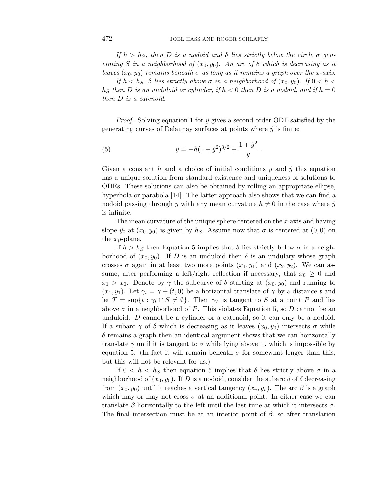If  $h > h<sub>S</sub>$ , then *D* is a nodoid and *δ* lies strictly below the circle  $\sigma$  generating *S* in a neighborhood of  $(x_0, y_0)$ . An arc of  $\delta$  which is decreasing as it leaves  $(x_0, y_0)$  remains beneath  $\sigma$  as long as it remains a graph over the *x*-axis.

If  $h < h<sub>S</sub>$ ,  $\delta$  lies strictly above  $\sigma$  in a neighborhood of  $(x<sub>0</sub>, y<sub>0</sub>)$ . If  $0 < h <$ *h<sub>S</sub>* then *D* is an unduloid or cylinder, if  $h < 0$  then *D* is a nodoid, and if  $h = 0$ then *D* is a catenoid.

*Proof.* Solving equation 1 for  $\ddot{y}$  gives a second order ODE satisfied by the generating curves of Delaunay surfaces at points where  $\dot{y}$  is finite:

(5) 
$$
\ddot{y} = -h(1 + \dot{y}^2)^{3/2} + \frac{1 + \dot{y}^2}{y}.
$$

Given a constant  $h$  and a choice of initial conditions  $y$  and  $\dot{y}$  this equation has a unique solution from standard existence and uniqueness of solutions to ODEs. These solutions can also be obtained by rolling an appropriate ellipse, hyperbola or parabola [14]. The latter approach also shows that we can find a nodoid passing through *y* with any mean curvature  $h \neq 0$  in the case where  $\dot{y}$ is infinite.

The mean curvature of the unique sphere centered on the *x*-axis and having slope  $\dot{y}_0$  at  $(x_0, y_0)$  is given by  $h_S$ . Assume now that  $\sigma$  is centered at  $(0, 0)$  on the *xy*-plane.

If  $h > h<sub>S</sub>$  then Equation 5 implies that  $\delta$  lies strictly below  $\sigma$  in a neighborhood of  $(x_0, y_0)$ . If *D* is an unduloid then *δ* is an undulary whose graph crosses  $\sigma$  again in at least two more points  $(x_1, y_1)$  and  $(x_2, y_2)$ . We can assume, after performing a left/right reflection if necessary, that  $x_0 \geq 0$  and  $x_1 > x_0$ . Denote by  $\gamma$  the subcurve of  $\delta$  starting at  $(x_0, y_0)$  and running to  $(x_1, y_1)$ . Let  $\gamma_t = \gamma + (t, 0)$  be a horizontal translate of  $\gamma$  by a distance *t* and let  $T = \sup\{t : \gamma_t \cap S \neq \emptyset\}$ . Then  $\gamma_T$  is tangent to *S* at a point *P* and lies above  $\sigma$  in a neighborhood of *P*. This violates Equation 5, so *D* cannot be an unduloid. *D* cannot be a cylinder or a catenoid, so it can only be a nodoid. If a subarc  $\gamma$  of  $\delta$  which is decreasing as it leaves  $(x_0, y_0)$  intersects  $\sigma$  while  $\delta$  remains a graph then an identical argument shows that we can horizontally translate  $\gamma$  until it is tangent to  $\sigma$  while lying above it, which is impossible by equation 5. (In fact it will remain beneath  $\sigma$  for somewhat longer than this, but this will not be relevant for us.)

If  $0 < h < h<sub>S</sub>$  then equation 5 implies that  $\delta$  lies strictly above  $\sigma$  in a neighborhood of  $(x_0, y_0)$ . If *D* is a nodoid, consider the subarc  $\beta$  of  $\delta$  decreasing from  $(x_0, y_0)$  until it reaches a vertical tangency  $(x_v, y_v)$ . The arc  $\beta$  is a graph which may or may not cross  $\sigma$  at an additional point. In either case we can translate *β* horizontally to the left until the last time at which it intersects *σ*. The final intersection must be at an interior point of  $\beta$ , so after translation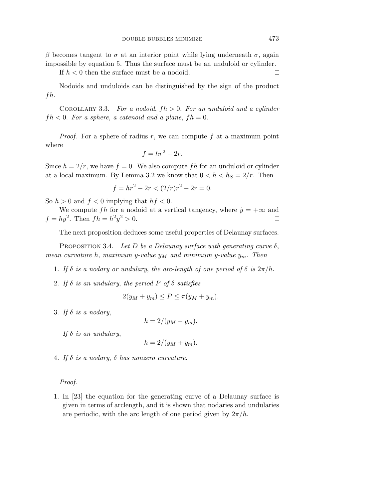*β* becomes tangent to *σ* at an interior point while lying underneath *σ*, again impossible by equation 5. Thus the surface must be an unduloid or cylinder.

If  $h < 0$  then the surface must be a nodoid.

Nodoids and unduloids can be distinguished by the sign of the product *fh*.

COROLLARY 3.3. For a nodoid,  $fh > 0$ . For an unduloid and a cylinder  $fh < 0$ . For a sphere, a catenoid and a plane,  $fh = 0$ .

Proof. For a sphere of radius *r*, we can compute *f* at a maximum point where

$$
f = hr^2 - 2r.
$$

Since  $h = 2/r$ , we have  $f = 0$ . We also compute fh for an unduloid or cylinder at a local maximum. By Lemma 3.2 we know that  $0 < h < h<sub>S</sub> = 2/r$ . Then

$$
f = hr^2 - 2r < (2/r)r^2 - 2r = 0.
$$

So  $h > 0$  and  $f < 0$  implying that  $hf < 0$ .

We compute *fh* for a nodoid at a vertical tangency, where  $\dot{y} = +\infty$  and *f* =  $hy^2$ . Then  $fh = h^2y^2 > 0$ .  $\Box$ 

The next proposition deduces some useful properties of Delaunay surfaces.

PROPOSITION 3.4. Let  $D$  be a Delaunay surface with generating curve  $\delta$ , mean curvature *h*, maximum *y*-value  $y_M$  and minimum *y*-value  $y_m$ . Then

- 1. If  $\delta$  is a nodary or undulary, the arc-length of one period of  $\delta$  is  $2\pi/h$ .
- 2. If  $\delta$  is an undulary, the period  $P$  of  $\delta$  satisfies

$$
2(y_M + y_m) \le P \le \pi(y_M + y_m).
$$

3. If *δ* is a nodary,

$$
h = 2/(y_M - y_m).
$$

If  $\delta$  is an undulary,

$$
h = 2/(y_M + y_m).
$$

4. If *δ* is a nodary, *δ* has nonzero curvature.

#### Proof.

1. In [23] the equation for the generating curve of a Delaunay surface is given in terms of arclength, and it is shown that nodaries and undularies are periodic, with the arc length of one period given by  $2\pi/h$ .

 $\Box$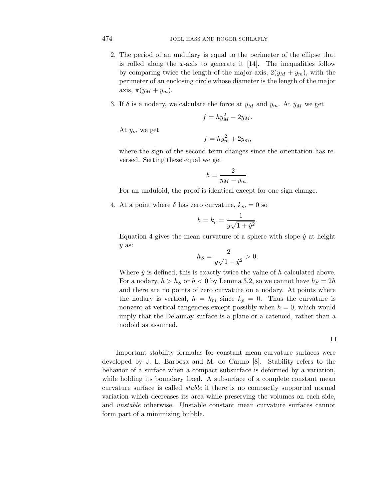- 2. The period of an undulary is equal to the perimeter of the ellipse that is rolled along the *x*-axis to generate it [14]. The inequalities follow by comparing twice the length of the major axis,  $2(y_M + y_m)$ , with the perimeter of an enclosing circle whose diameter is the length of the major axis,  $\pi(y_M + y_m)$ .
- 3. If  $\delta$  is a nodary, we calculate the force at  $y_M$  and  $y_m$ . At  $y_M$  we get

$$
f = hy_M^2 - 2y_M.
$$

At *y<sup>m</sup>* we get

$$
f = hy_m^2 + 2y_m,
$$

where the sign of the second term changes since the orientation has reversed. Setting these equal we get

$$
h = \frac{2}{y_M - y_m}
$$

*.*

For an unduloid, the proof is identical except for one sign change.

4. At a point where  $\delta$  has zero curvature,  $k_m = 0$  so

$$
h = k_p = \frac{1}{y\sqrt{1 + \dot{y}^2}}.
$$

Equation 4 gives the mean curvature of a sphere with slope  $\dot{y}$  at height *y* as:

$$
h_S = \frac{2}{y\sqrt{1 + \dot{y}^2}} > 0.
$$

Where  $\dot{y}$  is defined, this is exactly twice the value of  $h$  calculated above. For a nodary,  $h > h<sub>S</sub>$  or  $h < 0$  by Lemma 3.2, so we cannot have  $h<sub>S</sub> = 2h$ and there are no points of zero curvature on a nodary. At points where the nodary is vertical,  $h = k_m$  since  $k_p = 0$ . Thus the curvature is nonzero at vertical tangencies except possibly when  $h = 0$ , which would imply that the Delaunay surface is a plane or a catenoid, rather than a nodoid as assumed.

 $\Box$ 

Important stability formulas for constant mean curvature surfaces were developed by J. L. Barbosa and M. do Carmo [8]. Stability refers to the behavior of a surface when a compact subsurface is deformed by a variation, while holding its boundary fixed. A subsurface of a complete constant mean curvature surface is called stable if there is no compactly supported normal variation which decreases its area while preserving the volumes on each side, and unstable otherwise. Unstable constant mean curvature surfaces cannot form part of a minimizing bubble.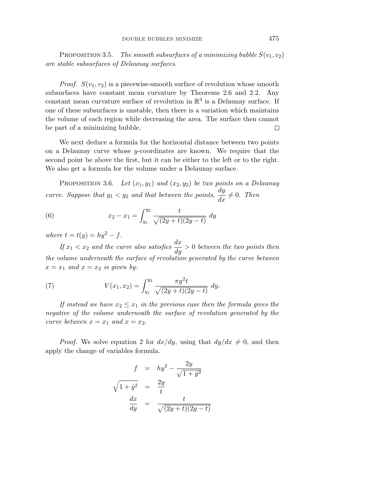Proposition 3.5. The smooth subsurfaces of a minimizing bubble  $S(v_1, v_2)$ are stable subsurfaces of Delaunay surfaces.

*Proof.*  $S(v_1, v_2)$  is a piecewise-smooth surface of revolution whose smooth subsurfaces have constant mean curvature by Theorems 2.6 and 2.2. Any constant mean curvature surface of revolution in  $\mathbb{R}^3$  is a Delaunay surface. If one of these subsurfaces is unstable, then there is a variation which maintains the volume of each region while decreasing the area. The surface then cannot be part of a minimizing bubble. П

We next deduce a formula for the horizontal distance between two points on a Delaunay curve whose *y*-coordinates are known. We require that the second point be above the first, but it can be either to the left or to the right. We also get a formula for the volume under a Delaunay surface.

PROPOSITION 3.6. Let  $(x_1, y_1)$  and  $(x_2, y_2)$  be two points on a Delaunay curve. Suppose that  $y_1 < y_2$  and that between the points,  $\frac{dy}{dx} \neq 0$ . Then

(6) 
$$
x_2 - x_1 = \int_{y_1}^{y_2} \frac{t}{\sqrt{(2y+t)(2y-t)}} dy
$$

where  $t = t(y) = hy^2 - f$ .

If  $x_1 < x_2$  and the curve also satisfies  $\frac{dx}{dy} > 0$  between the two points then the volume underneath the surface of revolution generated by the curve between  $x = x_1$  and  $x = x_2$  is given by:

(7) 
$$
V(x_1, x_2) = \int_{y_1}^{y_2} \frac{\pi y^2 t}{\sqrt{(2y+t)(2y-t)}} dy.
$$

If instead we have  $x_2 \leq x_1$  in the previous case then the formula gives the negative of the volume underneath the surface of revolution generated by the curve between  $x = x_1$  and  $x = x_2$ .

*Proof.* We solve equation 2 for  $dx/dy$ , using that  $dy/dx \neq 0$ , and then apply the change of variables formula.

$$
f = hy^2 - \frac{2y}{\sqrt{1+y^2}}
$$

$$
\sqrt{1+y^2} = \frac{2y}{t}
$$

$$
\frac{dx}{dy} = \frac{t}{\sqrt{(2y+t)(2y-t)}}
$$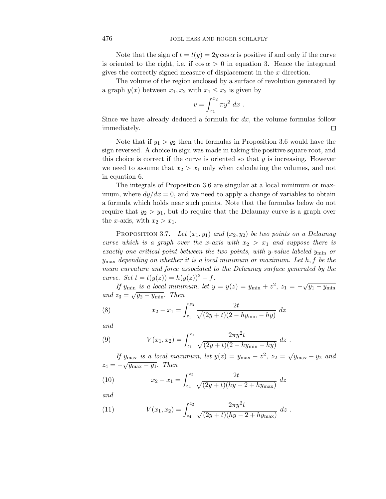Note that the sign of  $t = t(y) = 2y \cos \alpha$  is positive if and only if the curve is oriented to the right, i.e. if  $\cos \alpha > 0$  in equation 3. Hence the integrand gives the correctly signed measure of displacement in the *x* direction.

The volume of the region enclosed by a surface of revolution generated by a graph  $y(x)$  between  $x_1, x_2$  with  $x_1 \leq x_2$  is given by

$$
v = \int_{x_1}^{x_2} \pi y^2 dx .
$$

Since we have already deduced a formula for *dx*, the volume formulas follow immediately.  $\Box$ 

Note that if  $y_1 > y_2$  then the formulas in Proposition 3.6 would have the sign reversed. A choice in sign was made in taking the positive square root, and this choice is correct if the curve is oriented so that *y* is increasing. However we need to assume that  $x_2 > x_1$  only when calculating the volumes, and not in equation 6.

The integrals of Proposition 3.6 are singular at a local minimum or maximum, where  $dy/dx = 0$ , and we need to apply a change of variables to obtain a formula which holds near such points. Note that the formulas below do not require that  $y_2 > y_1$ , but do require that the Delaunay curve is a graph over the *x*-axis, with  $x_2 > x_1$ .

PROPOSITION 3.7. Let  $(x_1, y_1)$  and  $(x_2, y_2)$  be two points on a Delaunay curve which is a graph over the *x*-axis with  $x_2 > x_1$  and suppose there is exactly one critical point between the two points, with *y*-value labeled *y*min or *y*max depending on whether it is a local minimum or maximum. Let *h, f* be the mean curvature and force associated to the Delaunay surface generated by the curve. Set  $t = t(y(z)) = h(y(z))^2 - f$ .

If *y*<sub>min</sub> is a local minimum, let  $y = y(z) = y_{\min} + z^2$ ,  $z_1 = -\sqrt{y_1 - y_{\min}}$ and  $z_3 = \sqrt{y_2 - y_{\text{min}}}.$  Then

(8) 
$$
x_2 - x_1 = \int_{z_1}^{z_3} \frac{2t}{\sqrt{(2y+t)(2-hy_{\min}-hy)}} dz
$$

and

(9) 
$$
V(x_1, x_2) = \int_{z_1}^{z_3} \frac{2\pi y^2 t}{\sqrt{(2y+t)(2-hy_{\min}-hy)}} dz.
$$

If  $y_{\text{max}}$  is a local maximum, let  $y(z) = y_{\text{max}} - z^2$ ,  $z_2 = \sqrt{y_{\text{max}} - y_2}$  and  $z_4 = -\sqrt{y_{\text{max}} - y_1}$ . Then

(10) 
$$
x_2 - x_1 = \int_{z_4}^{z_2} \frac{2t}{\sqrt{(2y+t)(hy-2+hy_{\max})}} dz
$$

and

(11) 
$$
V(x_1, x_2) = \int_{z_4}^{z_2} \frac{2\pi y^2 t}{\sqrt{(2y+t)(hy-2+hy_{\text{max}})}} dz.
$$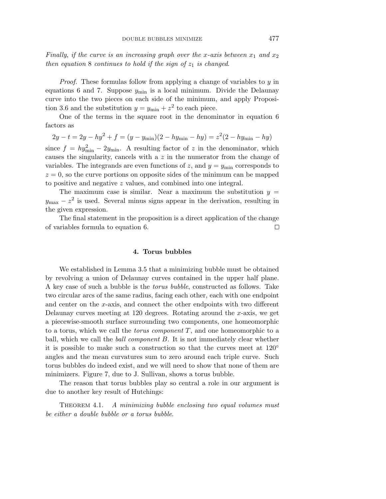Finally, if the curve is an increasing graph over the *x*-axis between  $x_1$  and  $x_2$ then equation 8 continues to hold if the sign of  $z_1$  is changed.

Proof. These formulas follow from applying a change of variables to *y* in equations 6 and 7. Suppose *y*min is a local minimum. Divide the Delaunay curve into the two pieces on each side of the minimum, and apply Proposition 3.6 and the substitution  $y = y_{\text{min}} + z^2$  to each piece.

One of the terms in the square root in the denominator in equation 6 factors as

 $2y - t = 2y - hy^2 + f = (y - y_{\text{min}})(2 - hy_{\text{min}} - hy) = z^2(2 - hy_{\text{min}} - hy)$ since  $f = hy_{\text{min}}^2 - 2y_{\text{min}}$ . A resulting factor of *z* in the denominator, which causes the singularity, cancels with a *z* in the numerator from the change of variables. The integrands are even functions of *z*, and  $y = y_{\text{min}}$  corresponds to  $z = 0$ , so the curve portions on opposite sides of the minimum can be mapped to positive and negative *z* values, and combined into one integral.

The maximum case is similar. Near a maximum the substitution  $y =$  $y_{\text{max}} - z^2$  is used. Several minus signs appear in the derivation, resulting in the given expression.

The final statement in the proposition is a direct application of the change of variables formula to equation 6.  $\Box$ 

#### **4. Torus bubbles**

We established in Lemma 3.5 that a minimizing bubble must be obtained by revolving a union of Delaunay curves contained in the upper half plane. A key case of such a bubble is the torus bubble, constructed as follows. Take two circular arcs of the same radius, facing each other, each with one endpoint and center on the *x*-axis, and connect the other endpoints with two different Delaunay curves meeting at 120 degrees. Rotating around the *x*-axis, we get a piecewise-smooth surface surrounding two components, one homeomorphic to a torus, which we call the torus component *T*, and one homeomorphic to a ball, which we call the ball component *B*. It is not immediately clear whether it is possible to make such a construction so that the curves meet at  $120^{\circ}$ angles and the mean curvatures sum to zero around each triple curve. Such torus bubbles do indeed exist, and we will need to show that none of them are minimizers. Figure 7, due to J. Sullivan, shows a torus bubble.

The reason that torus bubbles play so central a role in our argument is due to another key result of Hutchings:

THEOREM 4.1. A minimizing bubble enclosing two equal volumes must be either a double bubble or a torus bubble.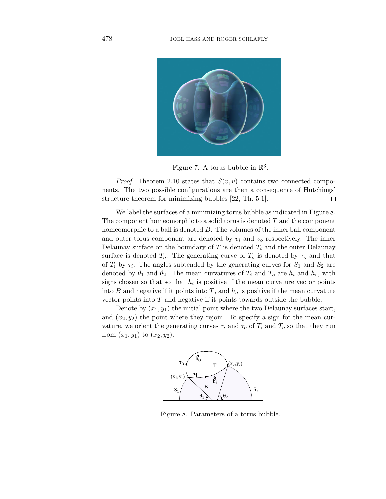

Figure 7. A torus bubble in  $\mathbb{R}^3$ .

*Proof.* Theorem 2.10 states that  $S(v, v)$  contains two connected components. The two possible configurations are then a consequence of Hutchings' structure theorem for minimizing bubbles [22, Th. 5.1].  $\Box$ 

We label the surfaces of a minimizing torus bubble as indicated in Figure 8. The component homeomorphic to a solid torus is denoted *T* and the component homeomorphic to a ball is denoted *B*. The volumes of the inner ball component and outer torus component are denoted by  $v_i$  and  $v_o$  respectively. The inner Delaunay surface on the boundary of  $T$  is denoted  $T_i$  and the outer Delaunay surface is denoted  $T_o$ . The generating curve of  $T_o$  is denoted by  $\tau_o$  and that of  $T_i$  by  $\tau_i$ . The angles subtended by the generating curves for  $S_1$  and  $S_2$  are denoted by  $\theta_1$  and  $\theta_2$ . The mean curvatures of  $T_i$  and  $T_o$  are  $h_i$  and  $h_o$ , with signs chosen so that so that  $h_i$  is positive if the mean curvature vector points into *B* and negative if it points into *T*, and  $h<sub>o</sub>$  is positive if the mean curvature vector points into *T* and negative if it points towards outside the bubble.

Denote by  $(x_1, y_1)$  the initial point where the two Delaunay surfaces start, and  $(x_2, y_2)$  the point where they rejoin. To specify a sign for the mean curvature, we orient the generating curves  $\tau_i$  and  $\tau_o$  of  $T_i$  and  $T_o$  so that they run from  $(x_1, y_1)$  to  $(x_2, y_2)$ .



Figure 8. Parameters of a torus bubble.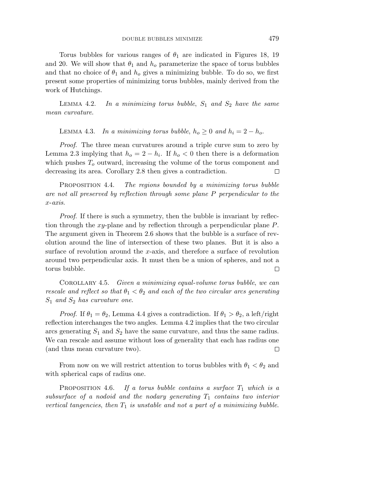Torus bubbles for various ranges of  $\theta_1$  are indicated in Figures 18, 19 and 20. We will show that  $\theta_1$  and  $h_o$  parameterize the space of torus bubbles and that no choice of  $\theta_1$  and  $h_o$  gives a minimizing bubble. To do so, we first present some properties of minimizing torus bubbles, mainly derived from the work of Hutchings.

LEMMA 4.2. In a minimizing torus bubble,  $S_1$  and  $S_2$  have the same mean curvature.

LEMMA 4.3. *In a minimizing torus bubble,*  $h_o \geq 0$  *and*  $h_i = 2 - h_o$ .

*Proof.* The three mean curvatures around a triple curve sum to zero by Lemma 2.3 implying that  $h_o = 2 - h_i$ . If  $h_o < 0$  then there is a deformation which pushes  $T<sub>o</sub>$  outward, increasing the volume of the torus component and decreasing its area. Corollary 2.8 then gives a contradiction.  $\Box$ 

PROPOSITION 4.4. The regions bounded by a minimizing torus bubble are not all preserved by reflection through some plane *P* perpendicular to the *x*-axis.

Proof. If there is such a symmetry, then the bubble is invariant by reflection through the *xy*-plane and by reflection through a perpendicular plane *P*. The argument given in Theorem 2.6 shows that the bubble is a surface of revolution around the line of intersection of these two planes. But it is also a surface of revolution around the *x*-axis, and therefore a surface of revolution around two perpendicular axis. It must then be a union of spheres, and not a torus bubble.  $\Box$ 

COROLLARY 4.5. Given a minimizing equal-volume torus bubble, we can rescale and reflect so that  $\theta_1 < \theta_2$  and each of the two circular arcs generating *S*<sup>1</sup> and *S*<sup>2</sup> has curvature one.

*Proof.* If  $\theta_1 = \theta_2$ , Lemma 4.4 gives a contradiction. If  $\theta_1 > \theta_2$ , a left/right reflection interchanges the two angles. Lemma 4.2 implies that the two circular arcs generating *S*<sup>1</sup> and *S*<sup>2</sup> have the same curvature, and thus the same radius. We can rescale and assume without loss of generality that each has radius one (and thus mean curvature two).  $\Box$ 

From now on we will restrict attention to torus bubbles with  $\theta_1 < \theta_2$  and with spherical caps of radius one.

PROPOSITION 4.6. If a torus bubble contains a surface  $T_1$  which is a subsurface of a nodoid and the nodary generating  $T_1$  contains two interior vertical tangencies, then  $T_1$  is unstable and not a part of a minimizing bubble.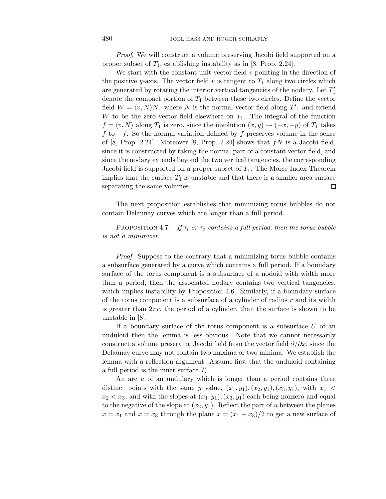Proof. We will construct a volume preserving Jacobi field supported on a proper subset of *T*1, establishing instability as in [8, Prop. 2.24].

We start with the constant unit vector field *v* pointing in the direction of the positive *y*-axis. The vector field *v* is tangent to  $T_1$  along two circles which are generated by rotating the interior vertical tangencies of the nodary. Let  $T_1'$ denote the compact portion of *T*<sup>1</sup> between these two circles. Define the vector field  $W = \langle v, N \rangle N$ . where *N* is the normal vector field along  $T_1'$ , and extend *W* to be the zero vector field elsewhere on  $T_1$ . The integral of the function  $f = \langle v, N \rangle$  along  $T_1$  is zero, since the involution  $(x, y) \rightarrow (-x, -y)$  of  $T_1$  takes *f* to −*f*. So the normal variation defined by *f* preserves volume in the sense of [8, Prop. 2.24]. Moreover [8, Prop. 2.24] shows that *fN* is a Jacobi field, since it is constructed by taking the normal part of a constant vector field, and since the nodary extends beyond the two vertical tangencies, the corresponding Jacobi field is supported on a proper subset of *T*1. The Morse Index Theorem implies that the surface  $T_1$  is unstable and that there is a smaller area surface separating the same volumes.  $\Box$ 

The next proposition establishes that minimizing torus bubbles do not contain Delaunay curves which are longer than a full period.

PROPOSITION 4.7. If  $\tau_i$  or  $\tau_o$  contains a full period, then the torus bubble is not a minimizer.

Proof. Suppose to the contrary that a minimizing torus bubble contains a subsurface generated by a curve which contains a full period. If a boundary surface of the torus component is a subsurface of a nodoid with width more than a period, then the associated nodary contains two vertical tangencies, which implies instability by Proposition 4.6. Similarly, if a boundary surface of the torus component is a subsurface of a cylinder of radius *r* and its width is greater than  $2\pi r$ , the period of a cylinder, than the surface is shown to be unstable in [8].

If a boundary surface of the torus component is a subsurface *U* of an unduloid then the lemma is less obvious. Note that we cannot necessarily construct a volume preserving Jacobi field from the vector field *∂/∂x*, since the Delaunay curve may not contain two maxima or two minima. We establish the lemma with a reflection argument. Assume first that the unduloid containing a full period is the inner surface *Ti*.

An arc *u* of an undulary which is longer than a period contains three distinct points with the same *y* value,  $(x_1, y_1), (x_2, y_1), (x_3, y_1)$ , with  $x_1$  $x_2 < x_3$ , and with the slopes at  $(x_1, y_1), (x_3, y_1)$  each being nonzero and equal to the negative of the slope at  $(x_2, y_1)$ . Reflect the part of *u* between the planes  $x = x_1$  and  $x = x_3$  through the plane  $x = (x_1 + x_3)/2$  to get a new surface of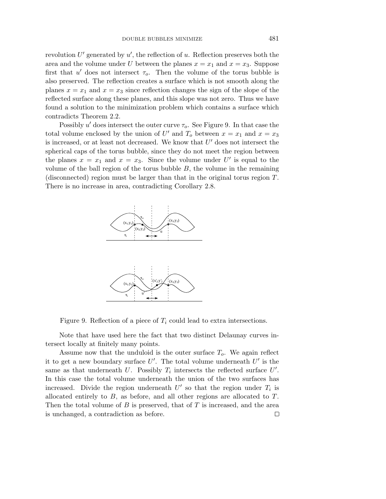revolution  $U'$  generated by  $u'$ , the reflection of  $u$ . Reflection preserves both the area and the volume under *U* between the planes  $x = x_1$  and  $x = x_3$ . Suppose first that  $u'$  does not intersect  $\tau_o$ . Then the volume of the torus bubble is also preserved. The reflection creates a surface which is not smooth along the planes  $x = x_1$  and  $x = x_3$  since reflection changes the sign of the slope of the reflected surface along these planes, and this slope was not zero. Thus we have found a solution to the minimization problem which contains a surface which contradicts Theorem 2.2.

Possibly  $u'$  does intersect the outer curve  $\tau_o$ . See Figure 9. In that case the total volume enclosed by the union of *U*<sup> $\prime$ </sup> and *T*<sub>*o*</sub> between *x* = *x*<sub>1</sub> and *x* = *x*<sub>3</sub> is increased, or at least not decreased. We know that  $U'$  does not intersect the spherical caps of the torus bubble, since they do not meet the region between the planes  $x = x_1$  and  $x = x_3$ . Since the volume under U' is equal to the volume of the ball region of the torus bubble *B*, the volume in the remaining (disconnected) region must be larger than that in the original torus region *T*. There is no increase in area, contradicting Corollary 2.8.



Figure 9. Reflection of a piece of *T<sup>i</sup>* could lead to extra intersections.

Note that have used here the fact that two distinct Delaunay curves intersect locally at finitely many points.

Assume now that the unduloid is the outer surface *To*. We again reflect it to get a new boundary surface  $U'$ . The total volume underneath  $U'$  is the same as that underneath *U*. Possibly  $T_i$  intersects the reflected surface  $U'$ . In this case the total volume underneath the union of the two surfaces has increased. Divide the region underneath  $U'$  so that the region under  $T_i$  is allocated entirely to *B*, as before, and all other regions are allocated to *T*. Then the total volume of *B* is preserved, that of *T* is increased, and the area is unchanged, a contradiction as before. $\Box$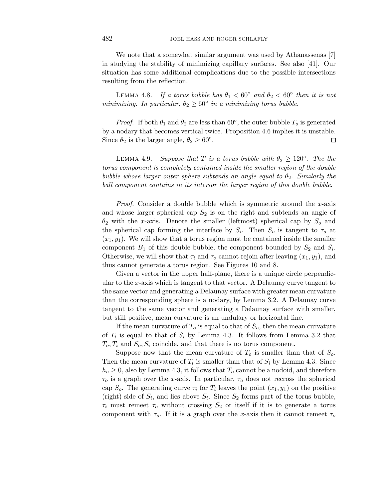We note that a somewhat similar argument was used by Athanassenas [7] in studying the stability of minimizing capillary surfaces. See also [41]. Our situation has some additional complications due to the possible intersections resulting from the reflection.

LEMMA 4.8. If a torus bubble has  $\theta_1 < 60^\circ$  and  $\theta_2 < 60^\circ$  then it is not minimizing. In particular,  $\theta_2 \geq 60^\circ$  in a minimizing torus bubble.

*Proof.* If both  $\theta_1$  and  $\theta_2$  are less than 60 $\degree$ , the outer bubble  $T_o$  is generated by a nodary that becomes vertical twice. Proposition 4.6 implies it is unstable. Since  $\theta_2$  is the larger angle,  $\theta_2 \geq 60^\circ$ . 口

LEMMA 4.9. Suppose that *T* is a torus bubble with  $\theta_2 \geq 120^\circ$ . The the torus component is completely contained inside the smaller region of the double bubble whose larger outer sphere subtends an angle equal to  $\theta_2$ . Similarly the ball component contains in its interior the larger region of this double bubble.

Proof. Consider a double bubble which is symmetric around the *x*-axis and whose larger spherical cap *S*<sup>2</sup> is on the right and subtends an angle of *θ*<sup>2</sup> with the *x*-axis. Denote the smaller (leftmost) spherical cap by *S<sup>o</sup>* and the spherical cap forming the interface by  $S_i$ . Then  $S_o$  is tangent to  $\tau_o$  at  $(x_1, y_1)$ . We will show that a torus region must be contained inside the smaller component  $B_1$  of this double bubble, the component bounded by  $S_2$  and  $S_i$ . Otherwise, we will show that  $\tau_i$  and  $\tau_o$  cannot rejoin after leaving  $(x_1, y_1)$ , and thus cannot generate a torus region. See Figures 10 and 8.

Given a vector in the upper half-plane, there is a unique circle perpendicular to the *x*-axis which is tangent to that vector. A Delaunay curve tangent to the same vector and generating a Delaunay surface with greater mean curvature than the corresponding sphere is a nodary, by Lemma 3.2. A Delaunay curve tangent to the same vector and generating a Delaunay surface with smaller, but still positive, mean curvature is an undulary or horizontal line.

If the mean curvature of  $T<sub>o</sub>$  is equal to that of  $S<sub>o</sub>$ , then the mean curvature of  $T_i$  is equal to that of  $S_i$  by Lemma 4.3. It follows from Lemma 3.2 that  $T_o, T_i$  and  $S_o, S_i$  coincide, and that there is no torus component.

Suppose now that the mean curvature of  $T<sub>o</sub>$  is smaller than that of  $S<sub>o</sub>$ . Then the mean curvature of  $T_i$  is smaller than that of  $S_i$  by Lemma 4.3. Since  $h_o \geq 0$ , also by Lemma 4.3, it follows that  $T_o$  cannot be a nodoid, and therefore  $\tau_o$  is a graph over the *x*-axis. In particular,  $\tau_o$  does not recross the spherical cap  $S_o$ . The generating curve  $\tau_i$  for  $T_i$  leaves the point  $(x_1, y_1)$  on the positive (right) side of  $S_i$ , and lies above  $S_i$ . Since  $S_2$  forms part of the torus bubble,  $\tau_i$  must remeet  $\tau_o$  without crossing  $S_2$  or itself if it is to generate a torus component with  $\tau_o$ . If it is a graph over the *x*-axis then it cannot remeet  $\tau_o$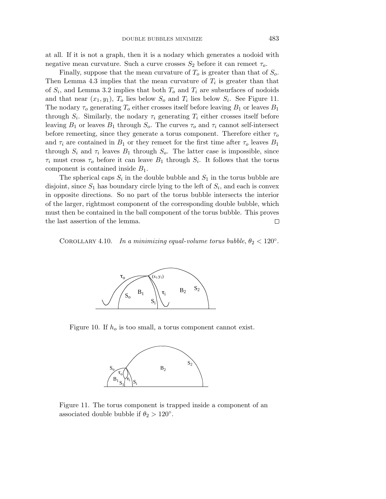at all. If it is not a graph, then it is a nodary which generates a nodoid with negative mean curvature. Such a curve crosses  $S_2$  before it can remeet  $\tau_o$ .

Finally, suppose that the mean curvature of *T<sup>o</sup>* is greater than that of *So*. Then Lemma 4.3 implies that the mean curvature of  $T_i$  is greater than that of  $S_i$ , and Lemma 3.2 implies that both  $T_o$  and  $T_i$  are subsurfaces of nodoids and that near  $(x_1, y_1)$ ,  $T_o$  lies below  $S_o$  and  $T_i$  lies below  $S_i$ . See Figure 11. The nodary  $\tau_o$  generating  $T_o$  either crosses itself before leaving  $B_1$  or leaves  $B_1$ through  $S_i$ . Similarly, the nodary  $\tau_i$  generating  $T_i$  either crosses itself before leaving  $B_1$  or leaves  $B_1$  through  $S_o$ . The curves  $\tau_o$  and  $\tau_i$  cannot self-intersect before remeeting, since they generate a torus component. Therefore either *τ<sup>o</sup>* and  $\tau_i$  are contained in  $B_1$  or they remeet for the first time after  $\tau_o$  leaves  $B_1$ through  $S_i$  and  $\tau_i$  leaves  $B_1$  through  $S_o$ . The latter case is impossible, since  $\tau_i$  must cross  $\tau_o$  before it can leave  $B_1$  through  $S_i$ . It follows that the torus component is contained inside *B*1.

The spherical caps  $S_i$  in the double bubble and  $S_1$  in the torus bubble are disjoint, since  $S_1$  has boundary circle lying to the left of  $S_i$ , and each is convex in opposite directions. So no part of the torus bubble intersects the interior of the larger, rightmost component of the corresponding double bubble, which must then be contained in the ball component of the torus bubble. This proves the last assertion of the lemma.  $\Box$ 

COROLLARY 4.10. In a minimizing equal-volume torus bubble,  $\theta_2 < 120^\circ$ .



Figure 10. If *h<sup>o</sup>* is too small, a torus component cannot exist.



Figure 11. The torus component is trapped inside a component of an associated double bubble if  $\theta_2 > 120^\circ$ .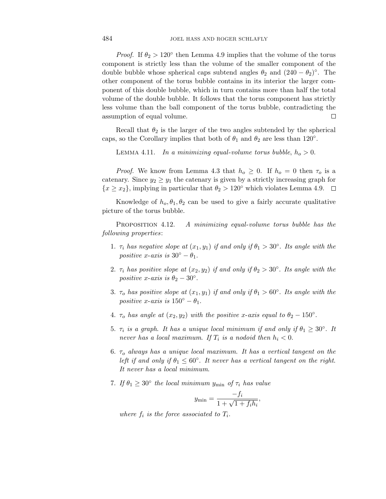*Proof.* If  $\theta_2 > 120^\circ$  then Lemma 4.9 implies that the volume of the torus component is strictly less than the volume of the smaller component of the double bubble whose spherical caps subtend angles  $\theta_2$  and  $(240 - \theta_2)$ <sup>°</sup>. The other component of the torus bubble contains in its interior the larger component of this double bubble, which in turn contains more than half the total volume of the double bubble. It follows that the torus component has strictly less volume than the ball component of the torus bubble, contradicting the assumption of equal volume. □

Recall that  $\theta_2$  is the larger of the two angles subtended by the spherical caps, so the Corollary implies that both of  $\theta_1$  and  $\theta_2$  are less than 120°.

LEMMA 4.11. In a minimizing equal-volume torus bubble,  $h_o > 0$ .

*Proof.* We know from Lemma 4.3 that  $h_o \geq 0$ . If  $h_o = 0$  then  $\tau_o$  is a catenary. Since  $y_2 \geq y_1$  the catenary is given by a strictly increasing graph for  ${x \geq x_2}$ , implying in particular that  $\theta_2 > 120^\circ$  which violates Lemma 4.9.  $\Box$ 

Knowledge of  $h_0, \theta_1, \theta_2$  can be used to give a fairly accurate qualitative picture of the torus bubble.

PROPOSITION 4.12. 4.12. A minimizing equal-volume torus bubble has the following properties:

- 1. *τ*<sub>*i*</sub> has negative slope at  $(x_1, y_1)$  if and only if  $\theta_1 > 30^\circ$ . Its angle with the positive *x*-axis is  $30^\circ - \theta_1$ .
- 2. *τ*<sub>*i*</sub> has positive slope at  $(x_2, y_2)$  if and only if  $\theta_2 > 30^\circ$ . Its angle with the *positive x-axis is*  $\theta_2 - 30^\circ$ .
- 3. *τ*<sub>o</sub> has positive slope at  $(x_1, y_1)$  if and only if  $\theta_1 > 60^\circ$ . Its angle with the *positive x-axis is*  $150^\circ - \theta_1$ .
- 4.  $\tau_o$  has angle at  $(x_2, y_2)$  with the positive *x*-axis equal to  $\theta_2 150^\circ$ .
- 5.  $\tau_i$  is a graph. It has a unique local minimum if and only if  $\theta_1 \geq 30^\circ$ . It never has a local maximum. If  $T_i$  is a nodoid then  $h_i < 0$ .
- 6. *τ<sup>o</sup>* always has a unique local maximum. It has a vertical tangent on the left if and only if  $\theta_1 \leq 60^\circ$ . It never has a vertical tangent on the right. It never has a local minimum.
- 7. If  $\theta_1 \geq 30^\circ$  the local minimum  $y_{\text{min}}$  of  $\tau_i$  has value

$$
y_{\min} = \frac{-f_i}{1 + \sqrt{1 + f_i h_i}},
$$

where  $f_i$  is the force associated to  $T_i$ .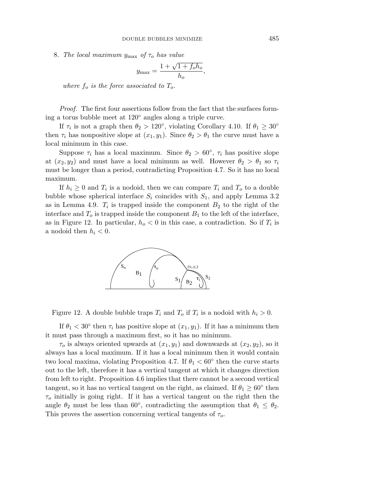8. The local maximum *y*max of *τ<sup>o</sup>* has value

$$
y_{\text{max}} = \frac{1 + \sqrt{1 + f_o h_o}}{h_o},
$$

where  $f_o$  is the force associated to  $T_o$ .

Proof. The first four assertions follow from the fact that the surfaces forming a torus bubble meet at 120◦ angles along a triple curve.

If  $\tau_i$  is not a graph then  $\theta_2 > 120^\circ$ , violating Corollary 4.10. If  $\theta_1 \geq 30^\circ$ then  $\tau_i$  has nonpositive slope at  $(x_1, y_1)$ . Since  $\theta_2 > \theta_1$  the curve must have a local minimum in this case.

Suppose  $\tau_i$  has a local maximum. Since  $\theta_2 > 60^\circ$ ,  $\tau_i$  has positive slope at  $(x_2, y_2)$  and must have a local minimum as well. However  $\theta_2 > \theta_1$  so  $\tau_i$ must be longer than a period, contradicting Proposition 4.7. So it has no local maximum.

If  $h_i \geq 0$  and  $T_i$  is a nodoid, then we can compare  $T_i$  and  $T_o$  to a double bubble whose spherical interface  $S_i$  coincides with  $S_1$ , and apply Lemma 3.2 as in Lemma 4.9.  $T_i$  is trapped inside the component  $B_2$  to the right of the interface and  $T<sub>o</sub>$  is trapped inside the component  $B<sub>1</sub>$  to the left of the interface, as in Figure 12. In particular,  $h<sub>o</sub> < 0$  in this case, a contradiction. So if  $T<sub>i</sub>$  is a nodoid then  $h_i < 0$ .



Figure 12. A double bubble traps  $T_i$  and  $T_o$  if  $T_i$  is a nodoid with  $h_i > 0$ .

If  $\theta_1 < 30^\circ$  then  $\tau_i$  has positive slope at  $(x_1, y_1)$ . If it has a minimum then it must pass through a maximum first, so it has no minimum.

 $\tau_o$  is always oriented upwards at  $(x_1, y_1)$  and downwards at  $(x_2, y_2)$ , so it always has a local maximum. If it has a local minimum then it would contain two local maxima, violating Proposition 4.7. If  $\theta_1 < 60^\circ$  then the curve starts out to the left, therefore it has a vertical tangent at which it changes direction from left to right. Proposition 4.6 implies that there cannot be a second vertical tangent, so it has no vertical tangent on the right, as claimed. If  $\theta_1 \geq 60^\circ$  then *τ<sup>o</sup>* initially is going right. If it has a vertical tangent on the right then the angle  $\theta_2$  must be less than 60<sup>°</sup>, contradicting the assumption that  $\theta_1 \leq \theta_2$ . This proves the assertion concerning vertical tangents of *τo*.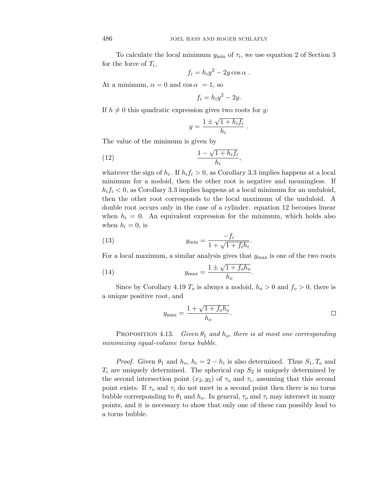To calculate the local minimum  $y_{\text{min}}$  of  $\tau_i$ , we use equation 2 of Section 3 for the force of *Ti*,

$$
f_i = h_i y^2 - 2y \cos \alpha .
$$

At a minimum,  $\alpha = 0$  and  $\cos \alpha = 1$ , so

$$
f_i = h_i y^2 - 2y.
$$

If  $h \neq 0$  this quadratic expression gives two roots for *y*:

$$
y = \frac{1 \pm \sqrt{1 + h_i f_i}}{h_i} .
$$

The value of the minimum is given by

$$
\frac{1 - \sqrt{1 + h_i f_i}}{h_i},
$$

whatever the sign of  $h_i$ . If  $h_i f_i > 0$ , as Corollary 3.3 implies happens at a local minimum for a nodoid, then the other root is negative and meaningless. If  $h_i f_i < 0$ , as Corollary 3.3 implies happens at a local minimum for an unduloid, then the other root corresponds to the local maximum of the unduloid. A double root occurs only in the case of a cylinder. equation 12 becomes linear when  $h_i = 0$ . An equivalent expression for the minimum, which holds also when  $h_i = 0$ , is

(13) 
$$
y_{\min} = \frac{-f_i}{1 + \sqrt{1 + f_i h_i}}.
$$

For a local maximum, a similar analysis gives that  $y_{\text{max}}$  is one of the two roots

(14) 
$$
y_{\max} = \frac{1 \pm \sqrt{1 + f_o h_o}}{h_o}.
$$

Since by Corollary 4.19  $T_o$  is always a nodoid,  $h_o > 0$  and  $f_o > 0$ , there is a unique positive root, and

$$
y_{\text{max}} = \frac{1 + \sqrt{1 + f_o h_o}}{h_o}.
$$

PROPOSITION 4.13. Given  $\theta_1$  and  $h_o$ , there is at most one corresponding minimizing equal-volume torus bubble.

*Proof.* Given  $\theta_1$  and  $h_o$ ,  $h_i = 2 - h_i$  is also determined. Thus  $S_1, T_o$  and  $T_i$  are uniquely determined. The spherical cap  $S_2$  is uniquely determined by the second intersection point  $(x_2, y_2)$  of  $\tau_o$  and  $\tau_i$ , assuming that this second point exists. If  $\tau_o$  and  $\tau_i$  do not meet in a second point then there is no torus bubble corresponding to  $\theta_1$  and  $h_o$ . In general,  $\tau_o$  and  $\tau_i$  may intersect in many points, and it is necessary to show that only one of these can possibly lead to a torus bubble.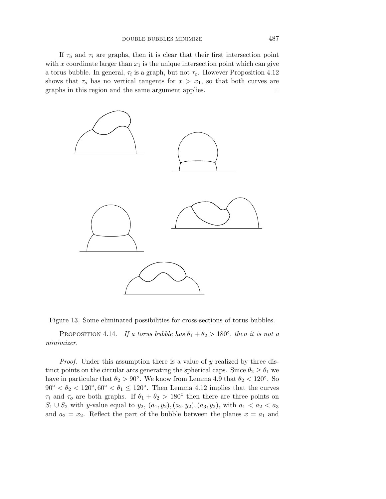If  $\tau_o$  and  $\tau_i$  are graphs, then it is clear that their first intersection point with  $x$  coordinate larger than  $x_1$  is the unique intersection point which can give a torus bubble. In general,  $\tau_i$  is a graph, but not  $\tau_o$ . However Proposition 4.12 shows that  $\tau_o$  has no vertical tangents for  $x > x_1$ , so that both curves are graphs in this region and the same argument applies.  $\Box$ 





PROPOSITION 4.14. If a torus bubble has  $\theta_1 + \theta_2 > 180^\circ$ , then it is not a minimizer.

Proof. Under this assumption there is a value of *y* realized by three distinct points on the circular arcs generating the spherical caps. Since  $\theta_2 \geq \theta_1$  we have in particular that  $\theta_2 > 90^\circ$ . We know from Lemma 4.9 that  $\theta_2 < 120^\circ$ . So  $90° < \theta_2 < 120°$ ,  $60° < \theta_1 \le 120°$ . Then Lemma 4.12 implies that the curves *τ*<sup>*i*</sup> and *τ*<sup>*o*</sup> are both graphs. If  $θ$ <sub>1</sub> +  $θ$ <sub>2</sub> > 180<sup>°</sup> then there are three points on *S*<sub>1</sub> ∪ *S*<sub>2</sub> with *y*-value equal to *y*<sub>2</sub>*,* (*a*<sub>1</sub>*, y*<sub>2</sub>*),*(*a*<sub>3</sub>*, y*<sub>2</sub>*),* with *a*<sub>1</sub> < *a*<sub>2</sub> < *a*<sub>3</sub> and  $a_2 = x_2$ . Reflect the part of the bubble between the planes  $x = a_1$  and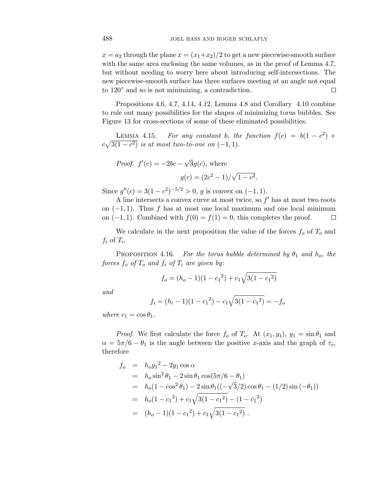$x = a_2$  through the plane  $x = (x_1+x_2)/2$  to get a new piecewise-smooth surface with the same area enclosing the same volumes, as in the proof of Lemma 4.7, but without needing to worry here about introducing self-intersections. The new piecewise-smooth surface has three surfaces meeting at an angle not equal to 120◦ and so is not minimizing, a contradiction.  $\Box$ 

Propositions 4.6, 4.7, 4.14, 4.12, Lemma 4.8 and Corollary 4.10 combine to rule out many possibilities for the shapes of minimizing torus bubbles. See Figure 13 for cross-sections of some of these eliminated possibilities.

LEMMA 4.15. For any constant *b*, the function  $f(c) = b(1 - c^2) +$  $c\sqrt{3(1-c^2)}$  is at most two-to-one on  $(-1, 1)$ .

*Proof.* 
$$
f'(c) = -2bc - \sqrt{3}g(c)
$$
, where  

$$
g(c) = (2c^2 - 1)/\sqrt{1 - c^2}.
$$

Since  $g''(c) = 3(1 - c^2)^{-5/2} > 0$ , *g* is convex on  $(-1, 1)$ .

A line intersects a convex curve at most twice, so  $f'$  has at most two roots on (−1*,* 1). Thus *f* has at most one local maximum and one local minimum on  $(-1, 1)$ . Combined with  $f(0) = f(1) = 0$ , this completes the proof.  $\Box$ 

We calculate in the next proposition the value of the forces  $f<sub>o</sub>$  of  $T<sub>o</sub>$  and  $f_i$  of  $T_i$ .

PROPOSITION 4.16. For the torus bubble determined by  $\theta_1$  and  $h_o$ , the *forces*  $f_o$  *of*  $T_o$  *and*  $f_i$  *of*  $T_i$  *are given by:* 

$$
f_o = (h_o - 1)(1 - {c_1}^2) + c_1 \sqrt{3(1 - {c_1}^2)}
$$

and

$$
f_i = (h_i - 1)(1 - {c_1}^2) - c_1 \sqrt{3(1 - {c_1}^2)} = -f_o
$$

where  $c_1 = \cos \theta_1$ .

*Proof.* We first calculate the force  $f_o$  of  $T_o$ . At  $(x_1, y_1)$ ,  $y_1 = \sin \theta_1$  and  $\alpha = 5\pi/6 - \theta_1$  is the angle between the positive *x*-axis and the graph of  $\tau_o$ , therefore

$$
f_o = h_o y_1^2 - 2y_1 \cos \alpha
$$
  
=  $h_o \sin^2 \theta_1 - 2 \sin \theta_1 \cos(5\pi/6 - \theta_1)$   
=  $h_o (1 - \cos^2 \theta_1) - 2 \sin \theta_1 ((-\sqrt{3}/2) \cos \theta_1 - (1/2) \sin (-\theta_1)))$   
=  $h_o (1 - c_1^2) + c_1 \sqrt{3(1 - c_1^2)} - (1 - c_1^2)$   
=  $(h_o - 1)(1 - c_1^2) + c_1 \sqrt{3(1 - c_1^2)}$ .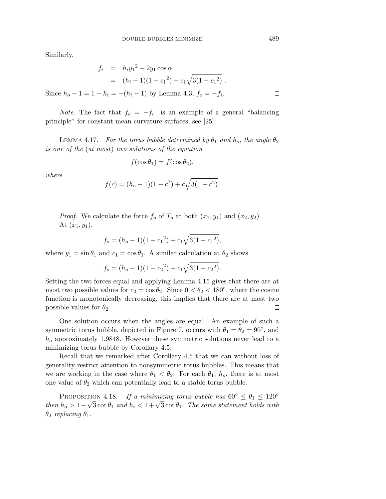Similarly,

Since  $h_o$  −

$$
f_i = h_i y_1^2 - 2y_1 \cos \alpha
$$
  
=  $(h_i - 1)(1 - c_1^2) - c_1 \sqrt{3(1 - c_1^2)}$ .  

$$
-1 = 1 - h_i = -(h_i - 1) \text{ by Lemma 4.3, } f_o = -f_i.
$$

*Note.* The fact that  $f_o = -f_i$  is an example of a general "balancing" principle" for constant mean curvature surfaces; see [25].

LEMMA 4.17. For the torus bubble determined by  $\theta_1$  and  $h_o$ , the angle  $\theta_2$ is one of the (at most) two solutions of the equation

$$
f(\cos \theta_1) = f(\cos \theta_2),
$$

where

$$
f(c) = (h_o - 1)(1 - c^2) + c\sqrt{3(1 - c^2)}.
$$

*Proof.* We calculate the force  $f_o$  of  $T_o$  at both  $(x_1, y_1)$  and  $(x_2, y_2)$ . At  $(x_1, y_1)$ ,

$$
f_o = (h_o - 1)(1 - c_1^2) + c_1 \sqrt{3(1 - c_1^2)},
$$

where  $y_1 = \sin \theta_1$  and  $c_1 = \cos \theta_1$ . A similar calculation at  $\theta_2$  shows

$$
f_o = (h_o - 1)(1 - c_2^2) + c_1 \sqrt{3(1 - c_2^2)}.
$$

Setting the two forces equal and applying Lemma 4.15 gives that there are at most two possible values for  $c_2 = \cos \theta_2$ . Since  $0 < \theta_2 < 180^\circ$ , where the cosine function is monotonically decreasing, this implies that there are at most two possible values for  $\theta_2$ .  $\Box$ 

One solution occurs when the angles are equal. An example of such a symmetric torus bubble, depicted in Figure 7, occurs with  $\theta_1 = \theta_2 = 90^\circ$ , and *h<sup>o</sup>* approximately 1*.*9848. However these symmetric solutions never lead to a minimizing torus bubble by Corollary 4.5.

Recall that we remarked after Corollary 4.5 that we can without loss of generality restrict attention to nonsymmetric torus bubbles. This means that we are working in the case where  $\theta_1 < \theta_2$ . For each  $\theta_1$ ,  $h_o$ , there is at most one value of  $\theta_2$  which can potentially lead to a stable torus bubble.

PROPOSITION 4.18. If a minimizing torus bubble has  $60^{\circ} \le \theta_1 \le 120^{\circ}$ then  $h_o > 1 - \sqrt{3} \cot \theta_1$  and  $h_i < 1 + \sqrt{3} \cot \theta_1$ . The same statement holds with *θ*<sup>2</sup> replacing *θ*1.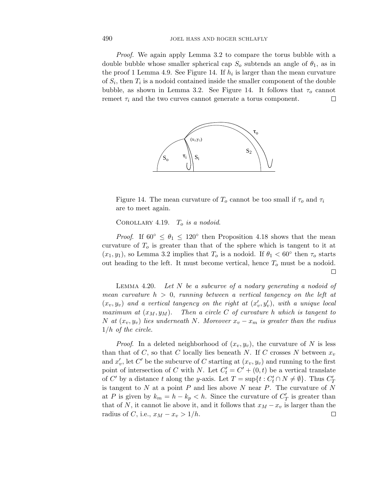Proof. We again apply Lemma 3.2 to compare the torus bubble with a double bubble whose smaller spherical cap  $S<sub>o</sub>$  subtends an angle of  $\theta<sub>1</sub>$ , as in the proof 1 Lemma 4.9. See Figure 14. If  $h_i$  is larger than the mean curvature of *Si*, then *T<sup>i</sup>* is a nodoid contained inside the smaller component of the double bubble, as shown in Lemma 3.2. See Figure 14. It follows that  $\tau_o$  cannot remeet  $\tau_i$  and the two curves cannot generate a torus component. П



Figure 14. The mean curvature of  $T<sub>o</sub>$  cannot be too small if  $\tau<sub>o</sub>$  and  $\tau<sub>i</sub>$ are to meet again.

COROLLARY 4.19.  $T_o$  is a nodoid.

*Proof.* If  $60^{\circ} \le \theta_1 \le 120^{\circ}$  then Proposition 4.18 shows that the mean curvature of *T<sup>o</sup>* is greater than that of the sphere which is tangent to it at  $(x_1, y_1)$ , so Lemma 3.2 implies that  $T_o$  is a nodoid. If  $\theta_1 < 60^\circ$  then  $\tau_o$  starts out heading to the left. It must become vertical, hence  $T<sub>o</sub>$  must be a nodoid. П

LEMMA  $4.20$ . Let *N* be a subcurve of a nodary generating a nodoid of mean curvature  $h > 0$ , running between a vertical tangency on the left at  $(x_v, y_v)$  and a vertical tangency on the right at  $(x'_v, y'_v)$ , with a unique local maximum at  $(x_M, y_M)$ . Then a circle C of curvature *h* which is tangent to *N* at  $(x_v, y_v)$  lies underneath *N*. Moreover  $x_v - x_m$  is greater than the radius 1*/h* of the circle.

*Proof.* In a deleted neighborhood of  $(x_v, y_v)$ , the curvature of N is less than that of *C*, so that *C* locally lies beneath *N*. If *C* crosses *N* between  $x_v$ and  $x'_{v}$ , let  $C'$  be the subcurve of  $C$  starting at  $(x_{v}, y_{v})$  and running to the first point of intersection of *C* with *N*. Let  $C'_{t} = C' + (0, t)$  be a vertical translate of *C'* by a distance *t* along the *y*-axis. Let  $T = \sup\{t : C'_t \cap N \neq \emptyset\}$ . Thus  $C'_T$ is tangent to *N* at a point *P* and lies above *N* near *P*. The curvature of *N* at *P* is given by  $k_m = h - k_p < h$ . Since the curvature of  $C'_T$  is greater than that of *N*, it cannot lie above it, and it follows that  $x_M - x_v$  is larger than the radius of *C*, i.e.,  $x_M - x_v > 1/h$ .  $\Box$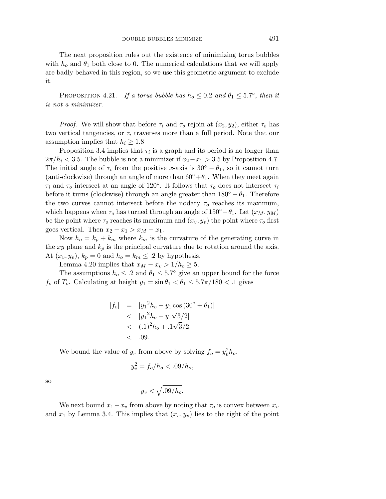The next proposition rules out the existence of minimizing torus bubbles with  $h_0$  and  $\theta_1$  both close to 0. The numerical calculations that we will apply are badly behaved in this region, so we use this geometric argument to exclude it.

PROPOSITION 4.21. If a torus bubble has  $h_o \leq 0.2$  and  $\theta_1 \leq 5.7^\circ$ , then it is not a minimizer.

*Proof.* We will show that before  $\tau_i$  and  $\tau_o$  rejoin at  $(x_2, y_2)$ , either  $\tau_o$  has two vertical tangencies, or  $\tau_i$  traverses more than a full period. Note that our assumption implies that  $h_i \geq 1.8$ 

Proposition 3.4 implies that  $\tau_i$  is a graph and its period is no longer than  $2\pi/h_i < 3.5$ . The bubble is not a minimizer if  $x_2 - x_1 > 3.5$  by Proposition 4.7. The initial angle of  $\tau_i$  from the positive *x*-axis is 30<sup>°</sup> −  $\theta_1$ , so it cannot turn (anti-clockwise) through an angle of more than  $60° + \theta_1$ . When they meet again *τ<sup>i</sup>* and *τ<sup>o</sup>* intersect at an angle of 120◦. It follows that *τ<sup>o</sup>* does not intersect *τ<sup>i</sup>* before it turns (clockwise) through an angle greater than  $180^\circ - \theta_1$ . Therefore the two curves cannot intersect before the nodary  $\tau_o$  reaches its maximum, which happens when  $\tau_o$  has turned through an angle of  $150°-\theta_1$ . Let  $(x_M, y_M)$ be the point where  $\tau_o$  reaches its maximum and  $(x_v, y_v)$  the point where  $\tau_o$  first goes vertical. Then  $x_2 - x_1 > x_M - x_1$ .

Now  $h_o = k_p + k_m$  where  $k_m$  is the curvature of the generating curve in the  $xy$  plane and  $k_p$  is the principal curvature due to rotation around the axis. At  $(x_v, y_v)$ ,  $k_p = 0$  and  $h_o = k_m \leq .2$  by hypothesis.

Lemma 4.20 implies that  $x_M - x_v > 1/h_o \geq 5$ .

The assumptions  $h_o \leq 0.2$  and  $\theta_1 \leq 5.7^\circ$  give an upper bound for the force *f*<sub>o</sub> of *T*<sub>*o*</sub>. Calculating at height  $y_1 = \sin \theta_1 < \theta_1 \leq 5.7\pi/180 < 0.1$  gives

$$
|f_o| = |y_1^2 h_o - y_1 \cos(30^\circ + \theta_1)|
$$
  
< 
$$
< |y_1^2 h_o - y_1 \sqrt{3}/2|
$$
  
< 
$$
< (.1)^2 h_o + .1 \sqrt{3}/2
$$
  
< 
$$
< .09.
$$

We bound the value of  $y_v$  from above by solving  $f_o = y_v^2 h_o$ .

$$
y_v^2 = f_o/h_o < .09/h_o,
$$

$$
y_v < \sqrt{.09/h_o}.
$$

We next bound  $x_1 - x_v$  from above by noting that  $\tau_o$  is convex between  $x_v$ and  $x_1$  by Lemma 3.4. This implies that  $(x_v, y_v)$  lies to the right of the point

so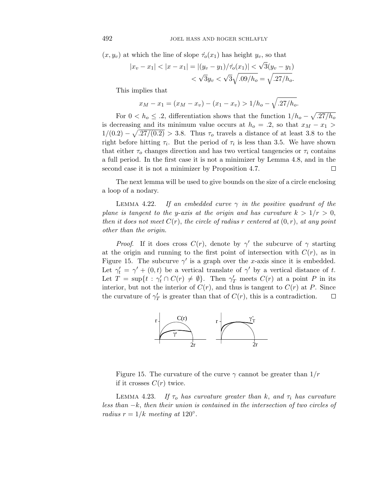$(x, y_v)$  at which the line of slope  $\dot{\tau}_o(x_1)$  has height  $y_v$ , so that

$$
|x_v - x_1| < |x - x_1| = |(y_v - y_1)/\dot{\tau}_o(x_1)| < \sqrt{3}(y_v - y_1)|
$$
\n
$$
< \sqrt{3}y_v < \sqrt{3}\sqrt{.09/h_o} = \sqrt{.27/h_o}.
$$

This implies that

$$
x_M - x_1 = (x_M - x_v) - (x_1 - x_v) > 1/h_o - \sqrt{.27/h_o}.
$$

For  $0 < h_o \leq .2$ , differentiation shows that the function  $1/h_o - \sqrt{.27/h_o}$ is decreasing and its minimum value occurs at  $h_o = .2$ , so that  $x_M - x_1 >$  $1/(0.2) - \sqrt{.27/(0.2)} > 3.8$ . Thus  $\tau_o$  travels a distance of at least 3.8 to the right before hitting  $\tau_i$ . But the period of  $\tau_i$  is less than 3.5. We have shown that either  $\tau_o$  changes direction and has two vertical tangencies or  $\tau_i$  contains a full period. In the first case it is not a minimizer by Lemma 4.8, and in the second case it is not a minimizer by Proposition 4.7. П

The next lemma will be used to give bounds on the size of a circle enclosing a loop of a nodary.

LEMMA 4.22. If an embedded curve  $\gamma$  in the positive quadrant of the plane is tangent to the *y*-axis at the origin and has curvature  $k > 1/r > 0$ , then it does not meet  $C(r)$ , the circle of radius r centered at  $(0, r)$ , at any point other than the origin.

*Proof.* If it does cross  $C(r)$ , denote by  $\gamma'$  the subcurve of  $\gamma$  starting at the origin and running to the first point of intersection with  $C(r)$ , as in Figure 15. The subcurve  $\gamma'$  is a graph over the *x*-axis since it is embedded. Let  $\gamma'_t = \gamma' + (0, t)$  be a vertical translate of  $\gamma'$  by a vertical distance of *t*. Let  $T = \sup\{t : \gamma'_t \cap C(r) \neq \emptyset\}$ . Then  $\gamma'_T$  meets  $C(r)$  at a point P in its interior, but not the interior of  $C(r)$ , and thus is tangent to  $C(r)$  at *P*. Since the curvature of  $\gamma'_T$  is greater than that of  $C(r)$ , this is a contradiction.  $\Box$ 



Figure 15. The curvature of the curve  $\gamma$  cannot be greater than  $1/r$ if it crosses  $C(r)$  twice.

LEMMA 4.23. If  $\tau_o$  has curvature greater than *k*, and  $\tau_i$  has curvature less than −*k*, then their union is contained in the intersection of two circles of radius  $r = 1/k$  meeting at 120°.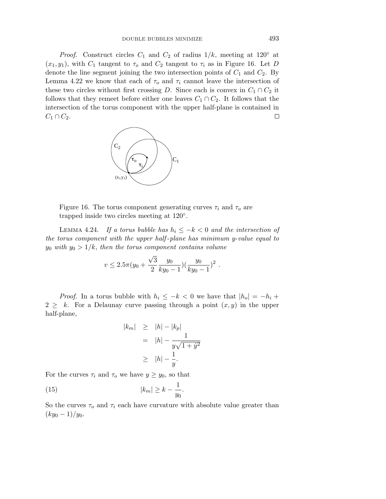*Proof.* Construct circles  $C_1$  and  $C_2$  of radius  $1/k$ , meeting at 120<sup>°</sup> at  $(x_1, y_1)$ , with  $C_1$  tangent to  $\tau_o$  and  $C_2$  tangent to  $\tau_i$  as in Figure 16. Let *D* denote the line segment joining the two intersection points of *C*<sup>1</sup> and *C*2. By Lemma 4.22 we know that each of  $\tau_o$  and  $\tau_i$  cannot leave the intersection of these two circles without first crossing *D*. Since each is convex in  $C_1 \cap C_2$  it follows that they remeet before either one leaves  $C_1 \cap C_2$ . It follows that the intersection of the torus component with the upper half-plane is contained in  $C_1 ∩ C_2$ .  $\Box$ 



Figure 16. The torus component generating curves  $\tau_i$  and  $\tau_o$  are trapped inside two circles meeting at 120◦.

LEMMA 4.24. If a torus bubble has  $h_i \leq -k < 0$  and the intersection of the torus component with the upper half -plane has minimum *y*-value equal to *y*<sub>0</sub> with  $y_0 > 1/k$ , then the torus component contains volume

$$
v \le 2.5\pi (y_0 + \frac{\sqrt{3}}{2} \frac{y_0}{ky_0 - 1}) (\frac{y_0}{ky_0 - 1})^2
$$
.

*Proof.* In a torus bubble with  $h_i \leq -k < 0$  we have that  $|h_o| = -h_i +$  $2 \geq k$ . For a Delaunay curve passing through a point  $(x, y)$  in the upper half-plane,

$$
|k_m| \ge |h| - |k_p|
$$
  
=  $|h| - \frac{1}{y\sqrt{1 + y^2}}$   

$$
\ge |h| - \frac{1}{y}.
$$

For the curves  $\tau_i$  and  $\tau_o$  we have  $y \geq y_0$ , so that

(15) 
$$
|k_m| \ge k - \frac{1}{y_0}.
$$

So the curves  $\tau_o$  and  $\tau_i$  each have curvature with absolute value greater than  $(ky_0-1)/y_0$ .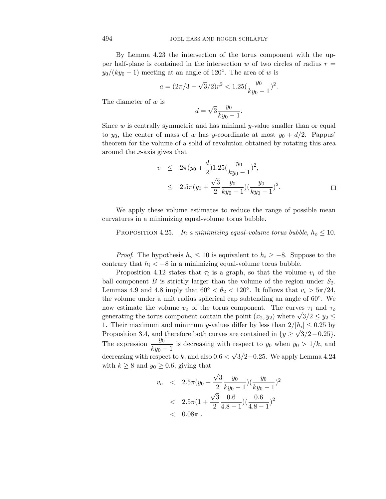By Lemma 4.23 the intersection of the torus component with the upper half-plane is contained in the intersection  $w$  of two circles of radius  $r =$  $y_0/(ky_0-1)$  meeting at an angle of 120°. The area of *w* is

$$
a = (2\pi/3 - \sqrt{3}/2)r^2 < 1.25\left(\frac{y_0}{ky_0 - 1}\right)^2.
$$

The diameter of *w* is

$$
d = \sqrt{3} \frac{y_0}{ky_0 - 1}
$$

Since *w* is centrally symmetric and has minimal *y*-value smaller than or equal to  $y_0$ , the center of mass of *w* has *y*-coordinate at most  $y_0 + d/2$ . Pappus' theorem for the volume of a solid of revolution obtained by rotating this area around the *x*-axis gives that

$$
v \leq 2\pi (y_0 + \frac{d}{2}) 1.25 \left(\frac{y_0}{ky_0 - 1}\right)^2,
$$
  
 
$$
\leq 2.5\pi (y_0 + \frac{\sqrt{3}}{2} \frac{y_0}{ky_0 - 1}) \left(\frac{y_0}{ky_0 - 1}\right)^2.
$$

*.*

We apply these volume estimates to reduce the range of possible mean curvatures in a minimizing equal-volume torus bubble.

PROPOSITION 4.25. In a minimizing equal-volume torus bubble,  $h_o \leq 10$ .

*Proof.* The hypothesis  $h_o \leq 10$  is equivalent to  $h_i \geq -8$ . Suppose to the contrary that  $h_i < -8$  in a minimizing equal-volume torus bubble.

Proposition 4.12 states that  $\tau_i$  is a graph, so that the volume  $v_i$  of the ball component  $B$  is strictly larger than the volume of the region under  $S_2$ . Lemmas 4.9 and 4.8 imply that  $60° < \theta_2 < 120°$ . It follows that  $v_i > 5\pi/24$ , the volume under a unit radius spherical cap subtending an angle of 60◦. We now estimate the volume  $v_o$  of the torus component. The curves  $\tau_i$  and  $\tau_o$ generating the torus component contain the point  $(x_2, y_2)$  where  $\sqrt{3}/2 \le y_2 \le$ 1. Their maximum and minimum *y*-values differ by less than  $2/|h_i| \leq 0.25$  by Proposition 3.4, and therefore both curves are contained in  $\{y \geq \sqrt{3}/2 - 0.25\}$ . The expression  $\frac{y_0}{ky_0 - 1}$  is decreasing with respect to  $y_0$  when  $y_0 > 1/k$ , and decreasing with respect to *k*, and also  $0.6 < \sqrt{3}/2 - 0.25$ . We apply Lemma 4.24 with  $k \geq 8$  and  $y_0 \geq 0.6$ , giving that

$$
v_o \quad < \quad 2.5\pi (y_0 + \frac{\sqrt{3}}{2} \frac{y_0}{ky_0 - 1}) (\frac{y_0}{ky_0 - 1})^2 \\
 < \quad 2.5\pi (1 + \frac{\sqrt{3}}{2} \frac{0.6}{4.8 - 1}) (\frac{0.6}{4.8 - 1})^2 \\
 < \quad 0.08\pi \, .
$$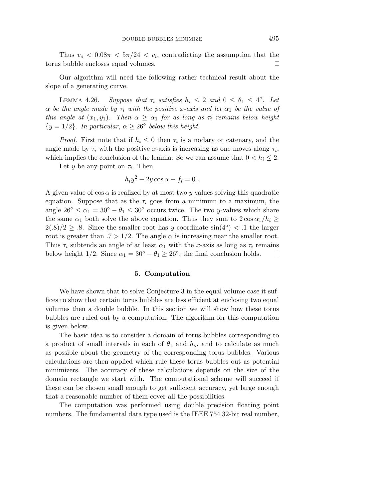Thus  $v_o < 0.08\pi < 5\pi/24 < v_i$ , contradicting the assumption that the torus bubble encloses equal volumes.  $\Box$ 

Our algorithm will need the following rather technical result about the slope of a generating curve.

LEMMA 4.26. Suppose that  $\tau_i$  satisfies  $h_i \leq 2$  and  $0 \leq \theta_1 \leq 4^\circ$ . Let *α* be the angle made by  $\tau_i$  with the positive *x*-axis and let  $\alpha_1$  be the value of this angle at  $(x_1, y_1)$ . Then  $\alpha \geq \alpha_1$  for as long as  $\tau_i$  remains below height  ${y = 1/2}$ . In particular,  $\alpha \geq 26^{\circ}$  below this height.

*Proof.* First note that if  $h_i \leq 0$  then  $\tau_i$  is a nodary or catenary, and the angle made by  $\tau_i$  with the positive *x*-axis is increasing as one moves along  $\tau_i$ , which implies the conclusion of the lemma. So we can assume that  $0 < h_i \leq 2$ .

Let *y* be any point on  $\tau_i$ . Then

$$
h_i y^2 - 2y \cos \alpha - f_i = 0.
$$

A given value of  $\cos \alpha$  is realized by at most two *y* values solving this quadratic equation. Suppose that as the  $\tau_i$  goes from a minimum to a maximum, the angle  $26° \leq \alpha_1 = 30° - \theta_1 \leq 30°$  occurs twice. The two *y*-values which share the same  $\alpha_1$  both solve the above equation. Thus they sum to  $2 \cos \alpha_1/h_i \geq$  $2(.8)/2 \geq .8$ . Since the smaller root has *y*-coordinate sin(4<sup>°</sup>) < .1 the larger root is greater than  $.7 > 1/2$ . The angle  $\alpha$  is increasing near the smaller root. Thus  $\tau_i$  subtends an angle of at least  $\alpha_1$  with the *x*-axis as long as  $\tau_i$  remains below height 1/2. Since  $\alpha_1 = 30^\circ - \theta_1 \geq 26^\circ$ , the final conclusion holds. □

# **5. Computation**

We have shown that to solve Conjecture 3 in the equal volume case it suffices to show that certain torus bubbles are less efficient at enclosing two equal volumes then a double bubble. In this section we will show how these torus bubbles are ruled out by a computation. The algorithm for this computation is given below.

The basic idea is to consider a domain of torus bubbles corresponding to a product of small intervals in each of  $\theta_1$  and  $h_o$ , and to calculate as much as possible about the geometry of the corresponding torus bubbles. Various calculations are then applied which rule these torus bubbles out as potential minimizers. The accuracy of these calculations depends on the size of the domain rectangle we start with. The computational scheme will succeed if these can be chosen small enough to get sufficient accuracy, yet large enough that a reasonable number of them cover all the possibilities.

The computation was performed using double precision floating point numbers. The fundamental data type used is the IEEE 754 32-bit real number,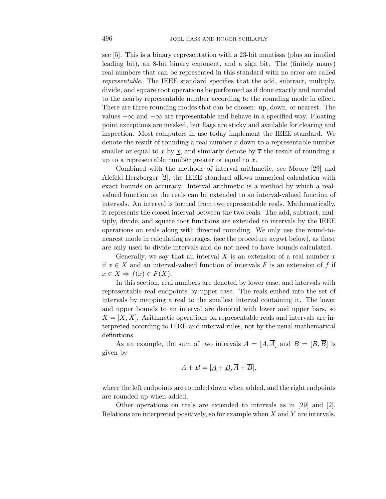see [5]. This is a binary representation with a 23-bit mantissa (plus an implied leading bit), an 8-bit binary exponent, and a sign bit. The (finitely many) real numbers that can be represented in this standard with no error are called representable. The IEEE standard specifies that the add, subtract, multiply, divide, and square root operations be performed as if done exactly and rounded to the nearby representable number according to the rounding mode in effect. There are three rounding modes that can be chosen: up, down, or nearest. The values  $+\infty$  and  $-\infty$  are representable and behave in a specified way. Floating point exceptions are masked, but flags are sticky and available for clearing and inspection. Most computers in use today implement the IEEE standard. We denote the result of rounding a real number *x* down to a representable number smaller or equal to x by x, and similarly denote by  $\overline{x}$  the result of rounding x up to a representable number greater or equal to *x*.

Combined with the methods of interval arithmetic, see Moore [29] and Alefeld-Herzberger [2], the IEEE standard allows numerical calculation with exact bounds on accuracy. Interval arithmetic is a method by which a realvalued function on the reals can be extended to an interval-valued function of intervals. An interval is formed from two representable reals. Mathematically, it represents the closed interval between the two reals. The add, subtract, multiply, divide, and square root functions are extended to intervals by the IEEE operations on reals along with directed rounding. We only use the round-tonearest mode in calculating averages, (see the procedure avgwt below), as these are only used to divide intervals and do not need to have bounds calculated.

Generally, we say that an interval *X* is an extension of a real number *x* if  $x \in X$  and an interval-valued function of intervals F is an extension of f if  $x \in X \Rightarrow f(x) \in F(X)$ .

In this section, real numbers are denoted by lower case, and intervals with representable real endpoints by upper case. The reals embed into the set of intervals by mapping a real to the smallest interval containing it. The lower and upper bounds to an interval are denoted with lower and upper bars, so  $X = [X, X]$ . Arithmetic operations on representable reals and intervals are interpreted according to IEEE and interval rules, not by the usual mathematical definitions.

As an example, the sum of two intervals  $A = [\underline{A}, \overline{A}]$  and  $B = [\underline{B}, \overline{B}]$  is given by

$$
A + B = [\underline{A + B}, \overline{A + B}],
$$

where the left endpoints are rounded down when added, and the right endpoints are rounded up when added.

Other operations on reals are extended to intervals as in [29] and [2]. Relations are interpreted positively, so for example when *X* and *Y* are intervals,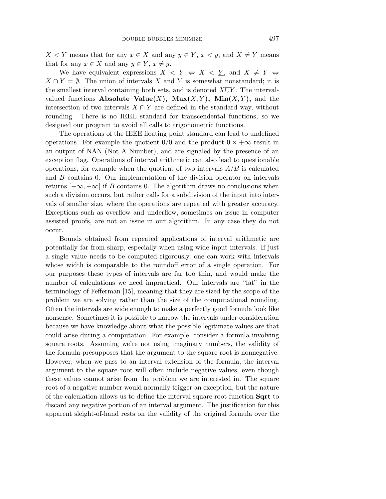*X* < *Y* means that for any *x* ∈ *X* and any *y* ∈ *Y*, *x* < *y*, and *X*  $\neq$  *Y* means that for any  $x \in X$  and any  $y \in Y$ ,  $x \neq y$ .

We have equivalent expressions  $X \leq Y \Leftrightarrow \overline{X} \leq \underline{Y}$ , and  $X \neq Y \Leftrightarrow$  $X \cap Y = \emptyset$ . The union of intervals *X* and *Y* is somewhat nonstandard; it is the smallest interval containing both sets, and is denoted *X*∪*Y* . The intervalvalued functions **Absolute Value** $(X)$ ,  $\text{Max}(X, Y)$ ,  $\text{Min}(X, Y)$ , and the intersection of two intervals  $X \cap Y$  are defined in the standard way, without rounding. There is no IEEE standard for transcendental functions, so we designed our program to avoid all calls to trigonometric functions.

The operations of the IEEE floating point standard can lead to undefined operations. For example the quotient  $0/0$  and the product  $0 \times +\infty$  result in an output of NAN (Not A Number), and are signaled by the presence of an exception flag. Operations of interval arithmetic can also lead to questionable operations, for example when the quotient of two intervals *A/B* is calculated and *B* contains 0. Our implementation of the division operator on intervals returns  $[-\infty, +\infty]$  if *B* contains 0. The algorithm draws no conclusions when such a division occurs, but rather calls for a subdivision of the input into intervals of smaller size, where the operations are repeated with greater accuracy. Exceptions such as overflow and underflow, sometimes an issue in computer assisted proofs, are not an issue in our algorithm. In any case they do not occur.

Bounds obtained from repeated applications of interval arithmetic are potentially far from sharp, especially when using wide input intervals. If just a single value needs to be computed rigorously, one can work with intervals whose width is comparable to the roundoff error of a single operation. For our purposes these types of intervals are far too thin, and would make the number of calculations we need impractical. Our intervals are "fat" in the terminology of Fefferman [15], meaning that they are sized by the scope of the problem we are solving rather than the size of the computational rounding. Often the intervals are wide enough to make a perfectly good formula look like nonsense. Sometimes it is possible to narrow the intervals under consideration because we have knowledge about what the possible legitimate values are that could arise during a computation. For example, consider a formula involving square roots. Assuming we're not using imaginary numbers, the validity of the formula presupposes that the argument to the square root is nonnegative. However, when we pass to an interval extension of the formula, the interval argument to the square root will often include negative values, even though these values cannot arise from the problem we are interested in. The square root of a negative number would normally trigger an exception, but the nature of the calculation allows us to define the interval square root function **Sqrt** to discard any negative portion of an interval argument. The justification for this apparent sleight-of-hand rests on the validity of the original formula over the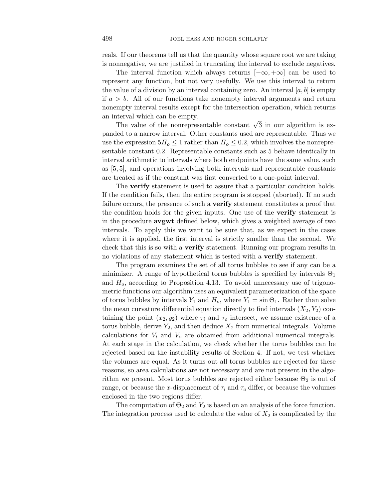reals. If our theorems tell us that the quantity whose square root we are taking is nonnegative, we are justified in truncating the interval to exclude negatives.

The interval function which always returns  $[-\infty, +\infty]$  can be used to represent any function, but not very usefully. We use this interval to return the value of a division by an interval containing zero. An interval  $[a, b]$  is empty if  $a > b$ . All of our functions take nonempty interval arguments and return nonempty interval results except for the intersection operation, which returns an interval which can be empty.

The value of the nonrepresentable constant  $\sqrt{3}$  in our algorithm is expanded to a narrow interval. Other constants used are representable. Thus we use the expression  $5H_o \leq 1$  rather than  $H_o \leq 0.2$ , which involves the nonrepresentable constant 0*.*2. Representable constants such as 5 behave identically in interval arithmetic to intervals where both endpoints have the same value, such as [5*,* 5], and operations involving both intervals and representable constants are treated as if the constant was first converted to a one-point interval.

The **verify** statement is used to assure that a particular condition holds. If the condition fails, then the entire program is stopped (aborted). If no such failure occurs, the presence of such a **verify** statement constitutes a proof that the condition holds for the given inputs. One use of the **verify** statement is in the procedure **avgwt** defined below, which gives a weighted average of two intervals. To apply this we want to be sure that, as we expect in the cases where it is applied, the first interval is strictly smaller than the second. We check that this is so with a **verify** statement. Running our program results in no violations of any statement which is tested with a **verify** statement.

The program examines the set of all torus bubbles to see if any can be a minimizer. A range of hypothetical torus bubbles is specified by intervals  $\Theta_1$ and *Ho*, according to Proposition 4.13. To avoid unnecessary use of trigonometric functions our algorithm uses an equivalent parameterization of the space of torus bubbles by intervals  $Y_1$  and  $H_o$ , where  $Y_1 = \sin \Theta_1$ . Rather than solve the mean curvature differential equation directly to find intervals  $(X_2, Y_2)$  containing the point  $(x_2, y_2)$  where  $\tau_i$  and  $\tau_o$  intersect, we assume existence of a torus bubble, derive  $Y_2$ , and then deduce  $X_2$  from numerical integrals. Volume calculations for *V<sup>i</sup>* and *V<sup>o</sup>* are obtained from additional numerical integrals. At each stage in the calculation, we check whether the torus bubbles can be rejected based on the instability results of Section 4. If not, we test whether the volumes are equal. As it turns out all torus bubbles are rejected for these reasons, so area calculations are not necessary and are not present in the algorithm we present. Most torus bubbles are rejected either because  $\Theta_2$  is out of range, or because the *x*-displacement of  $\tau_i$  and  $\tau_o$  differ, or because the volumes enclosed in the two regions differ.

The computation of  $\Theta_2$  and  $Y_2$  is based on an analysis of the force function. The integration process used to calculate the value of  $X_2$  is complicated by the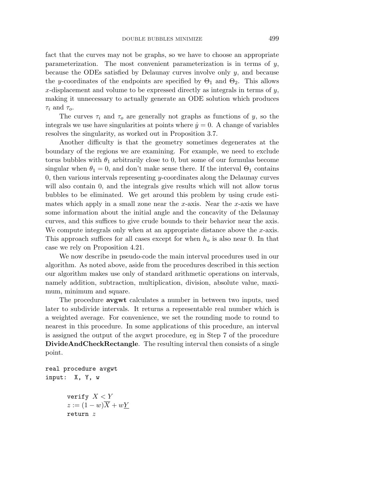fact that the curves may not be graphs, so we have to choose an appropriate parameterization. The most convenient parameterization is in terms of *y*, because the ODEs satisfied by Delaunay curves involve only *y*, and because the *y*-coordinates of the endpoints are specified by  $\Theta_1$  and  $\Theta_2$ . This allows *x*-displacement and volume to be expressed directly as integrals in terms of *y*, making it unnecessary to actually generate an ODE solution which produces *τ<sup>i</sup>* and *τo*.

The curves  $\tau_i$  and  $\tau_o$  are generally not graphs as functions of *y*, so the integrals we use have singularities at points where  $\dot{y} = 0$ . A change of variables resolves the singularity, as worked out in Proposition 3.7.

Another difficulty is that the geometry sometimes degenerates at the boundary of the regions we are examining. For example, we need to exclude torus bubbles with  $\theta_1$  arbitrarily close to 0, but some of our formulas become singular when  $\theta_1 = 0$ , and don't make sense there. If the interval  $\Theta_1$  contains 0, then various intervals representing *y*-coordinates along the Delaunay curves will also contain 0, and the integrals give results which will not allow torus bubbles to be eliminated. We get around this problem by using crude estimates which apply in a small zone near the *x*-axis. Near the *x*-axis we have some information about the initial angle and the concavity of the Delaunay curves, and this suffices to give crude bounds to their behavior near the axis. We compute integrals only when at an appropriate distance above the *x*-axis. This approach suffices for all cases except for when *h<sup>o</sup>* is also near 0. In that case we rely on Proposition 4.21.

We now describe in pseudo-code the main interval procedures used in our algorithm. As noted above, aside from the procedures described in this section our algorithm makes use only of standard arithmetic operations on intervals, namely addition, subtraction, multiplication, division, absolute value, maximum, minimum and square.

The procedure **avgwt** calculates a number in between two inputs, used later to subdivide intervals. It returns a representable real number which is a weighted average. For convenience, we set the rounding mode to round to nearest in this procedure. In some applications of this procedure, an interval is assigned the output of the avgwt procedure, eg in Step 7 of the procedure **DivideAndCheckRectangle**. The resulting interval then consists of a single point.

```
real procedure avgwt
input: X, Y, w
       verify X<Y
       z := (1 - w)\overline{X} + w\underline{Y}return z
```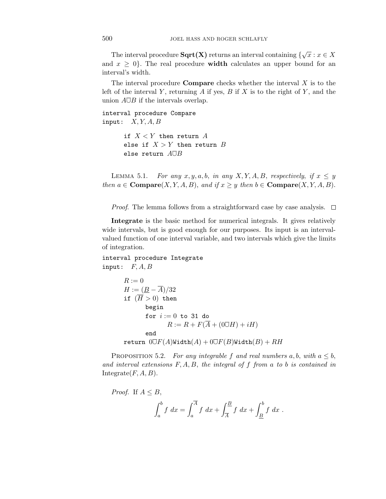The interval procedure  $\textbf{Sqrt(X)}$  returns an interval containing  $\{\sqrt{x} : x \in X\}$ and  $x \geq 0$ . The real procedure **width** calculates an upper bound for an interval's width.

The interval procedure **Compare** checks whether the interval *X* is to the left of the interval *Y* , returning *A* if yes, *B* if *X* is to the right of *Y* , and the union  $A\overline{\cup}B$  if the intervals overlap.

interval procedure Compare input: *X, Y, A, B*

> if *X<Y* then return *A* else if *X>Y* then return *B* else return *A*∪*B*

LEMMA 5.1. For any  $x, y, a, b$ , in any  $X, Y, A, B$ , respectively, if  $x \leq y$ then  $a \in \mathbf{Compare}(X, Y, A, B)$ , and if  $x \geq y$  then  $b \in \mathbf{Compare}(X, Y, A, B)$ .

*Proof.* The lemma follows from a straightforward case by case analysis.  $\Box$ 

**Integrate** is the basic method for numerical integrals. It gives relatively wide intervals, but is good enough for our purposes. Its input is an intervalvalued function of one interval variable, and two intervals which give the limits of integration.

interval procedure Integrate input: *F, A, B*

$$
R := 0
$$
  
\n
$$
H := (\underline{B} - \overline{A})/32
$$
  
\nif  $(\overline{H} > 0)$  then  
\nbegin  
\nfor  $i := 0$  to 31 do  
\n
$$
R := R + F(\overline{A} + (0\overline{U}H) + iH)
$$
  
\nend  
\nreturn  $0\overline{U}F(A)$ Width $(A) + 0\overline{U}F(B)$ Width $(B) + RH$ 

PROPOSITION 5.2. For any integrable f and real numbers  $a, b$ , with  $a \leq b$ , and interval extensions *F, A, B*, the integral of *f* from *a* to *b* is contained in Integrate $(F, A, B)$ .

*Proof.* If 
$$
A \le B
$$
,  

$$
\int_a^b f \, dx = \int_a^{\overline{A}} f \, dx + \int_{\overline{A}}^B f \, dx + \int_{\underline{B}}^b f \, dx.
$$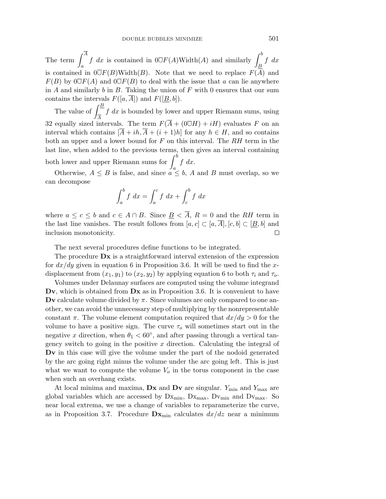The term  $\int^A$ *a f* dx is contained in  $0\overline{\cup}F(A)\text{Width}(A)$  and similarly  $\int^b$ *B f dx* is contained in  $0\overline{\cup}F(B)$ Width(*B*). Note that we need to replace  $F(\overline{A})$  and  $F(B)$  by  $0\overline{\cup}F(A)$  and  $0\overline{\cup}F(B)$  to deal with the issue that *a* can lie anywhere in *A* and similarly *b* in *B*. Taking the union of *F* with 0 ensures that our sum contains the intervals  $F([a,\overline{A}])$  and  $F([\underline{B},b])$ .

The value of  $\frac{B}{\sqrt{B}}$ *A f dx* is bounded by lower and upper Riemann sums, using 32 equally sized intervals. The term  $F(\overline{A} + (0\overline{U}H) + iH)$  evaluates *F* on an interval which contains  $[\overline{A} + ih, \overline{A} + (i+1)h]$  for any  $h \in H$ , and so contains both an upper and a lower bound for *F* on this interval. The *RH* term in the last line, when added to the previous terms, then gives an interval containing both lower and upper Riemann sums for  $\int^b$ *f dx*.

*a* Otherwise,  $A \leq B$  is false, and since  $a \leq b$ , *A* and *B* must overlap, so we can decompose

$$
\int_a^b f \ dx = \int_a^c f \ dx + \int_c^b f \ dx
$$

where  $a \leq c \leq b$  and  $c \in A \cap B$ . Since  $\underline{B} < \overline{A}$ ,  $R = 0$  and the RH term in the last line vanishes. The result follows from  $[a, c] \subset [a, \overline{A}], [c, b] \subset [\underline{B}, b]$  and inclusion monotonicity. □

The next several procedures define functions to be integrated.

The procedure **Dx** is a straightforward interval extension of the expression for *dx/dy* given in equation 6 in Proposition 3.6. It will be used to find the *x*displacement from  $(x_1, y_1)$  to  $(x_2, y_2)$  by applying equation 6 to both  $\tau_i$  and  $\tau_o$ .

Volumes under Delaunay surfaces are computed using the volume integrand **Dv**, which is obtained from **Dx** as in Proposition 3.6. It is convenient to have **Dv** calculate volume divided by *π*. Since volumes are only compared to one another, we can avoid the unnecessary step of multiplying by the nonrepresentable constant  $\pi$ . The volume element computation required that  $dx/dy > 0$  for the volume to have a positive sign. The curve  $\tau_o$  will sometimes start out in the negative *x* direction, when  $\theta_1 < 60^\circ$ , and after passing through a vertical tangency switch to going in the positive *x* direction. Calculating the integral of **Dv** in this case will give the volume under the part of the nodoid generated by the arc going right minus the volume under the arc going left. This is just what we want to compute the volume  $V<sub>o</sub>$  in the torus component in the case when such an overhang exists.

At local minima and maxima,  $\mathbf{D}\mathbf{x}$  and  $\mathbf{D}\mathbf{v}$  are singular.  $Y_{\text{min}}$  and  $Y_{\text{max}}$  are global variables which are accessed by  $Dx_{\min}$ ,  $Dx_{\max}$ ,  $Dv_{\min}$  and  $Dv_{\max}$ . So near local extrema, we use a change of variables to reparameterize the curve, as in Proposition 3.7. Procedure  $\mathbf{D}\mathbf{x}_{\text{min}}$  calculates  $dx/dz$  near a minimum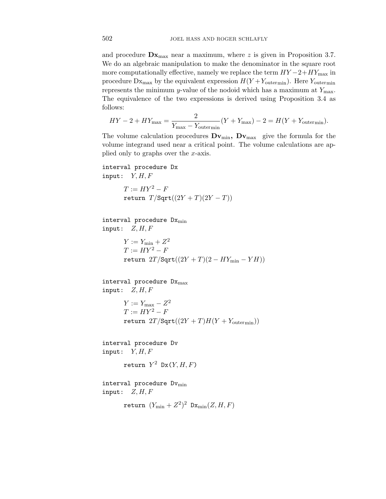and procedure  $\mathbf{D} \mathbf{x}_{\text{max}}$  near a maximum, where *z* is given in Proposition 3.7. We do an algebraic manipulation to make the denominator in the square root more computationally effective, namely we replace the term  $HY-2+HY_{\text{max}}$  in procedure  $Dx_{\text{max}}$  by the equivalent expression  $H(Y+Y_{\text{outer}})$ . Here  $Y_{\text{outer}}$ represents the minimum *y*-value of the nodoid which has a maximum at *Y*max. The equivalence of the two expressions is derived using Proposition 3.4 as follows:

$$
HY - 2 + HY_{\text{max}} = \frac{2}{Y_{\text{max}} - Y_{\text{outermin}}}(Y + Y_{\text{max}}) - 2 = H(Y + Y_{\text{outermin}}).
$$

The volume calculation procedures  $Dv_{min}$ ,  $Dv_{max}$  give the formula for the volume integrand used near a critical point. The volume calculations are applied only to graphs over the *x*-axis.

interval procedure Dx input: *Y, H, F*

> $T := HY^2 - F$  $r$ eturn  $T/\text{Sqrt}((2Y+T)(2Y-T))$

 $interval$  procedure  $Dx_{min}$ input: *Z, H, F*

> $Y := Y_{\text{min}} + Z^2$  $T := HY^2 - F$  $r$ eturn  $2T/\sqrt{\sqrt{2}}$ ( $(2Y + T)(2 - HY_{\min} - YH))$

```
interval procedure Dx_{max}input: Z, H, F
       Y := Y<sub>max</sub> – Z^2T := HY^2 - Freturn 2T/\text{Sqrt}((2Y+T)H(Y+Y_{\text{outermin}}))interval procedure Dv
input: Y, H, F
```

```
return Y^2 Dx(Y, H, F)
```
interval procedure  $Dv_{\text{min}}$ input: *Z, H, F*

return  $(Y_{\min} + Z^2)^2$   $Dx_{\min}(Z, H, F)$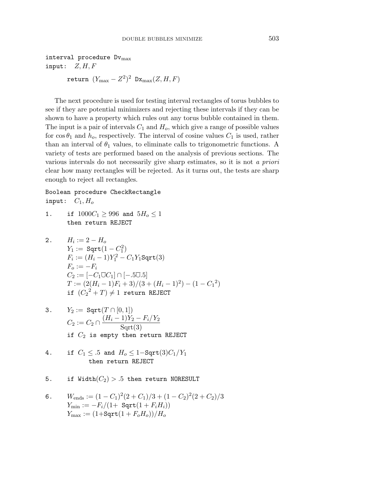$$
\text{return } (Y_{\text{max}} - Z^2)^2 \text{ Dx}_{\text{max}}(Z, H, F)
$$

The next procedure is used for testing interval rectangles of torus bubbles to see if they are potential minimizers and rejecting these intervals if they can be shown to have a property which rules out any torus bubble contained in them. The input is a pair of intervals  $C_1$  and  $H_0$ , which give a range of possible values for  $\cos \theta_1$  and  $h_o$ , respectively. The interval of cosine values  $C_1$  is used, rather than an interval of  $\theta_1$  values, to eliminate calls to trigonometric functions. A variety of tests are performed based on the analysis of previous sections. The various intervals do not necessarily give sharp estimates, so it is not a priori clear how many rectangles will be rejected. As it turns out, the tests are sharp enough to reject all rectangles.

Boolean procedure CheckRectangle input:  $C_1, H_o$ 

1. if  $1000C_1 \ge 996$  and  $5H_o \le 1$ then return REJECT

2. 
$$
H_i := 2 - H_o
$$
  
\n $Y_1 := \text{Sqrt}(1 - C_1^2)$   
\n $F_i := (H_i - 1)Y_1^2 - C_1Y_1\text{Sqrt}(3)$   
\n $F_o := -F_i$   
\n $C_2 := [-C_1\overline{\cup}C_1] \cap [-.5\overline{\cup}0.5]$   
\n $T := (2(H_i - 1)F_i + 3)/(3 + (H_i - 1)^2) - (1 - C_1^2)$   
\nif  $(C_2^2 + T) \neq 1$  return REJECT

- 3.  $Y_2 := \text{Sqrt}(T \cap [0,1])$  $C_2 := C_2 \cap \frac{(H_i - 1)Y_2 - F_i/Y_2}{\text{Sqrt}(3)}$ if  $C_2$  is empty then return REJECT
- 4. if  $C_1 \le .5$  and  $H_o \le 1 \text{Sqrt}(3)C_1/Y_1$ then return REJECT
- 5. if  $Width(C_2) > .5$  then return NORESULT
- 6.  $W_{\text{ends}} := (1 C_1)^2 (2 + C_1)/3 + (1 C_2)^2 (2 + C_2)/3$  $Y_{\min} := -F_i/(1 + \text{Sqrt}(1 + F_i H_i))$  $Y_{\text{max}} := (1 + \text{Sqrt}(1 + F_o H_o))/H_o$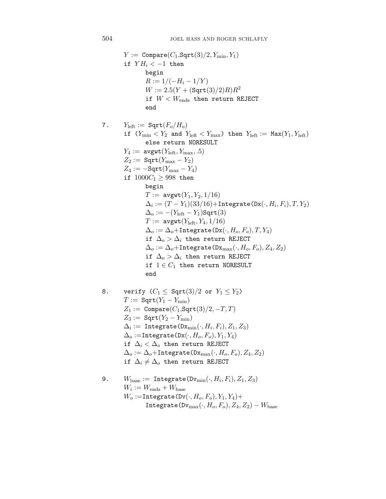$Y := \text{Compare}(C_1, \text{Sqrt}(3)/2, Y_{\text{min}}, Y_1)$ if  $YH_i < -1$  then begin  $R := 1/(-H_i - 1/Y)$  $W := 2.5(Y + (\text{Sqrt}(3)/2)R)R^2$ if  $W < W_{\text{ends}}$  then return REJECT end 7.  $Y_{\text{left}} := \text{Sqrt}(F_o/H_o)$ if  $(Y_{\min} < Y_2$  and  $Y_{\text{left}} < Y_{\max}$ ) then  $Y_{\text{left}} := \text{Max}(Y_1, Y_{\text{left}})$ else return NORESULT  $Y_4 := \text{avgwt}(Y_{\text{left}}, Y_{\text{max}}, .5)$  $Z_2 := \text{Sqrt}(Y_{\text{max}} - Y_2)$  $Z_4 := -$ Sqrt $(Y_{\text{max}} - Y_4)$ if  $1000C_1 \ge 998$  then begin  $T := \text{avgwt}(Y_1, Y_2, 1/16)$  $\Delta_i := (T - Y_1)(33/16) + \text{Integrate}(\text{Dx}(\cdot, H_i, F_i), T, Y_2)$  $\Delta_o := -(Y_{\text{left}} - Y_1)$ Sqrt $(3)$  $T := \text{avgwt}(Y_{\text{left}}, Y_4, 1/16)$  $\Delta_o := \Delta_o + \text{Integrate}(\text{Dx}(\cdot, H_o, F_o), T, Y_4)$ if  $\Delta_o > \Delta_i$  then return REJECT  $\Delta_o := \Delta_o + \text{Integrate}(\text{Dx}_{\text{max}}(\cdot, H_o, F_o), Z_4, Z_2)$ if  $\Delta$ <sup>0</sup> >  $\Delta$ <sup>i</sup> then return REJECT if  $1 \in C_1$  then return NORESULT end 8. verify  $(C_1 \leq \text{Sqrt}(3)/2 \text{ or } Y_1 \leq Y_2)$  $T := \text{Sqrt}(Y_1 - Y_{\min})$  $Z_1 := \text{Compare}(C_1, \text{Sqrt}(3)/2, -T, T)$  $Z_3 := \text{Sqrt}(Y_2 - Y_{\min})$  $\Delta_i$  := Integrate( $\text{Dx}_{\text{min}}(\cdot, H_i, F_i), Z_1, Z_3$ )  $\Delta_o$  :=Integrate(Dx( $\cdot$ ,  $H_o$ ,  $F_o$ ),  $Y_1$ ,  $Y_4$ ) if  $\Delta_i < \Delta_o$  then return REJECT  $\Delta_o := \Delta_o + \text{Integrate}(\text{Dx}_{\text{max}}(\cdot, H_o, F_o), Z_4, Z_2)$ if  $\Delta_i \neq \Delta_o$  then return REJECT 9.  $W_{base} := Integrate(Dv_{min}(\cdot, H_i, F_i), Z_1, Z_3)$  $W_i := W_{\text{ends}} + W_{\text{base}}$ 

 $W_o :=$ Integrate(Dv( $\cdot$ *, H<sub>o</sub>*,  $F_o$ )*,Y*<sub>1</sub>*,Y*<sub>4</sub>)+  $Integrate(Dv_{max}(\cdot, H_o, F_o), Z_4, Z_2) - W_{base}$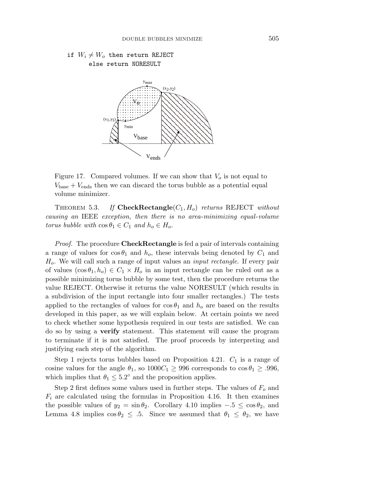# if  $W_i \neq W_o$  then return REJECT else return NORESULT



Figure 17. Compared volumes. If we can show that *V<sup>o</sup>* is not equal to  $V_{base} + V_{ends}$  then we can discard the torus bubble as a potential equal volume minimizer.

THEOREM 5.3. If  $\text{CheckRectangle}(C_1, H_o)$  returns REJECT without causing an IEEE exception, then there is no area-minimizing equal-volume torus bubble with  $\cos \theta_1 \in C_1$  and  $h_o \in H_o$ .

Proof. The procedure **CheckRectangle** is fed a pair of intervals containing a range of values for  $\cos \theta_1$  and  $h_o$ , these intervals being denoted by  $C_1$  and *Ho*. We will call such a range of input values an input rectangle. If every pair of values  $(\cos \theta_1, h_o) \in C_1 \times H_o$  in an input rectangle can be ruled out as a possible minimizing torus bubble by some test, then the procedure returns the value REJECT. Otherwise it returns the value NORESULT (which results in a subdivision of the input rectangle into four smaller rectangles.) The tests applied to the rectangles of values for  $\cos \theta_1$  and  $h_o$  are based on the results developed in this paper, as we will explain below. At certain points we need to check whether some hypothesis required in our tests are satisfied. We can do so by using a **verify** statement. This statement will cause the program to terminate if it is not satisfied. The proof proceeds by interpreting and justifying each step of the algorithm.

Step 1 rejects torus bubbles based on Proposition 4.21.  $C_1$  is a range of cosine values for the angle  $\theta_1$ , so  $1000C_1 \geq 996$  corresponds to  $\cos \theta_1 \geq .996$ , which implies that  $\theta_1 \leq 5.2^\circ$  and the proposition applies.

Step 2 first defines some values used in further steps. The values of *F<sup>o</sup>* and *F<sup>i</sup>* are calculated using the formulas in Proposition 4.16. It then examines the possible values of  $y_2 = \sin \theta_2$ . Corollary 4.10 implies  $-.5 \le \cos \theta_2$ , and Lemma 4.8 implies  $\cos \theta_2 \leq .5$ . Since we assumed that  $\theta_1 \leq \theta_2$ , we have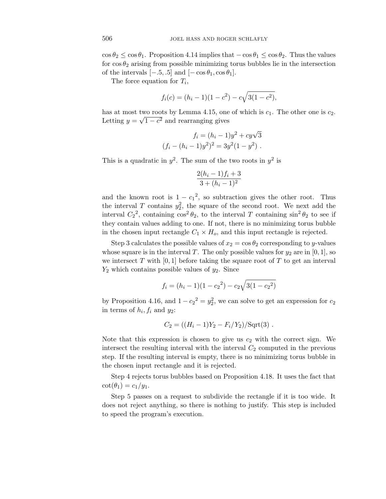$\cos \theta_2 \leq \cos \theta_1$ . Proposition 4.14 implies that  $-\cos \theta_1 \leq \cos \theta_2$ . Thus the values for  $\cos \theta_2$  arising from possible minimizing torus bubbles lie in the intersection of the intervals  $[-.5, .5]$  and  $[-\cos\theta_1, \cos\theta_1]$ .

The force equation for *Ti*,

$$
f_i(c) = (h_i - 1)(1 - c^2) - c\sqrt{3(1 - c^2)},
$$

has at most two roots by Lemma 4.15, one of which is  $c_1$ . The other one is  $c_2$ .  $\mu$  and  $\mu$  and  $\mu$  and rearranging gives

$$
f_i = (h_i - 1)y^2 + cy\sqrt{3}
$$

$$
(f_i - (h_i - 1)y^2)^2 = 3y^2(1 - y^2).
$$

This is a quadratic in  $y^2$ . The sum of the two roots in  $y^2$  is

$$
\frac{2(h_i-1)f_i+3}{3+(h_i-1)^2}
$$

and the known root is  $1 - c_1^2$ , so subtraction gives the other root. Thus the interval *T* contains  $y_2^2$ , the square of the second root. We next add the interval  $C_2^2$ , containing  $\cos^2 \theta_2$ , to the interval *T* containing  $\sin^2 \theta_2$  to see if they contain values adding to one. If not, there is no minimizing torus bubble in the chosen input rectangle  $C_1 \times H_0$ , and this input rectangle is rejected.

Step 3 calculates the possible values of  $x_2 = \cos \theta_2$  corresponding to *y*-values whose square is in the interval *T*. The only possible values for  $y_2$  are in [0, 1], so we intersect  $T$  with  $[0, 1]$  before taking the square root of  $T$  to get an interval *Y*<sup>2</sup> which contains possible values of *y*2. Since

$$
f_i = (h_i - 1)(1 - c_2^2) - c_2\sqrt{3(1 - c_2^2)}
$$

by Proposition 4.16, and  $1 - c_2^2 = y_2^2$ , we can solve to get an expression for  $c_2$ in terms of  $h_i, f_i$  and  $y_2$ :

$$
C_2 = ((H_i - 1)Y_2 - F_i/Y_2)/\text{Sqrt}(3) .
$$

Note that this expression is chosen to give us  $c_2$  with the correct sign. We intersect the resulting interval with the interval  $C_2$  computed in the previous step. If the resulting interval is empty, there is no minimizing torus bubble in the chosen input rectangle and it is rejected.

Step 4 rejects torus bubbles based on Proposition 4.18. It uses the fact that  $\cot(\theta_1) = c_1/y_1.$ 

Step 5 passes on a request to subdivide the rectangle if it is too wide. It does not reject anything, so there is nothing to justify. This step is included to speed the program's execution.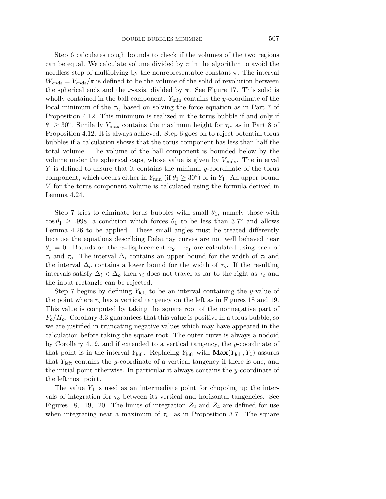Step 6 calculates rough bounds to check if the volumes of the two regions can be equal. We calculate volume divided by  $\pi$  in the algorithm to avoid the needless step of multiplying by the nonrepresentable constant  $\pi$ . The interval  $W_{\text{ends}} = V_{\text{ends}}/\pi$  is defined to be the volume of the solid of revolution between the spherical ends and the *x*-axis, divided by  $\pi$ . See Figure 17. This solid is wholly contained in the ball component. *Y*min contains the *y*-coordinate of the local minimum of the  $\tau_i$ , based on solving the force equation as in Part 7 of Proposition 4.12. This minimum is realized in the torus bubble if and only if  $\theta_1 \geq 30^\circ$ . Similarly *Y*<sub>max</sub> contains the maximum height for  $\tau_o$ , as in Part 8 of Proposition 4.12. It is always achieved. Step 6 goes on to reject potential torus bubbles if a calculation shows that the torus component has less than half the total volume. The volume of the ball component is bounded below by the volume under the spherical caps, whose value is given by  $V_{\text{ends}}$ . The interval *Y* is defined to ensure that it contains the minimal *y*-coordinate of the torus component, which occurs either in  $Y_{\text{min}}$  (if  $\theta_1 \geq 30^{\circ}$ ) or in  $Y_1$ . An upper bound *V* for the torus component volume is calculated using the formula derived in Lemma 4.24.

Step 7 tries to eliminate torus bubbles with small  $\theta_1$ , namely those with  $\cos \theta_1 \geq .998$ , a condition which forces  $\theta_1$  to be less than 3.7° and allows Lemma 4.26 to be applied. These small angles must be treated differently because the equations describing Delaunay curves are not well behaved near  $\theta_1 = 0$ . Bounds on the *x*-displacement  $x_2 - x_1$  are calculated using each of *τ<sup>i</sup>* and *τo*. The interval ∆*<sup>i</sup>* contains an upper bound for the width of *τ<sup>i</sup>* and the interval  $\Delta$ <sup>*o*</sup> contains a lower bound for the width of  $\tau$ <sup>*o*</sup>. If the resulting intervals satisfy  $\Delta_i < \Delta_o$  then  $\tau_i$  does not travel as far to the right as  $\tau_o$  and the input rectangle can be rejected.

Step 7 begins by defining *Y*left to be an interval containing the *y*-value of the point where  $\tau_o$  has a vertical tangency on the left as in Figures 18 and 19. This value is computed by taking the square root of the nonnegative part of  $F_o/H_o$ . Corollary 3.3 guarantees that this value is positive in a torus bubble, so we are justified in truncating negative values which may have appeared in the calculation before taking the square root. The outer curve is always a nodoid by Corollary 4.19, and if extended to a vertical tangency, the *y*-coordinate of that point is in the interval  $Y_{\text{left}}$ . Replacing  $Y_{\text{left}}$  with  $\mathbf{Max}(Y_{\text{left}}, Y_1)$  assures that *Y*left contains the *y*-coordinate of a vertical tangency if there is one, and the initial point otherwise. In particular it always contains the *y*-coordinate of the leftmost point.

The value  $Y_4$  is used as an intermediate point for chopping up the intervals of integration for  $\tau_o$  between its vertical and horizontal tangencies. See Figures 18, 19, 20. The limits of integration  $Z_2$  and  $Z_4$  are defined for use when integrating near a maximum of  $\tau_o$ , as in Proposition 3.7. The square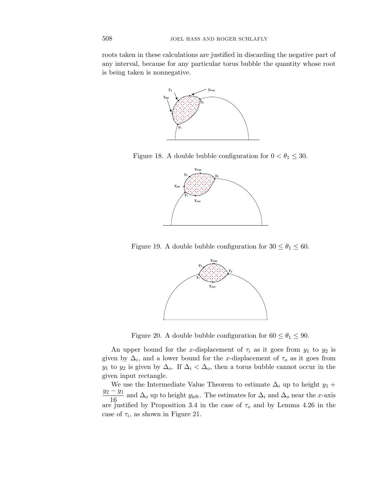roots taken in these calculations are justified in discarding the negative part of any interval, because for any particular torus bubble the quantity whose root is being taken is nonnegative.



Figure 18. A double bubble configuration for  $0 < \theta_1 \leq 30$ .



Figure 19. A double bubble configuration for  $30 \le \theta_1 \le 60$ .



Figure 20. A double bubble configuration for  $60 \le \theta_1 \le 90$ .

An upper bound for the *x*-displacement of  $\tau_i$  as it goes from  $y_1$  to  $y_2$  is given by  $\Delta_i$ , and a lower bound for the *x*-displacement of  $\tau_o$  as it goes from *y*<sub>1</sub> to *y*<sub>2</sub> is given by  $\Delta_o$ . If  $\Delta_i < \Delta_o$ , then a torus bubble cannot occur in the given input rectangle.

We use the Intermediate Value Theorem to estimate  $\Delta_i$  up to height *y*<sub>1</sub> + *y*<sup>2</sup> − *y*<sup>1</sup>  $\frac{91}{16}$  and  $\Delta$ <sub>*o*</sub> up to height *y*<sub>left</sub>. The estimates for  $\Delta$ <sub>*i*</sub> and  $\Delta$ <sub>*o*</sub> near the *x*-axis are justified by Proposition 3.4 in the case of  $\tau_o$  and by Lemma 4.26 in the case of  $\tau_i$ , as shown in Figure 21.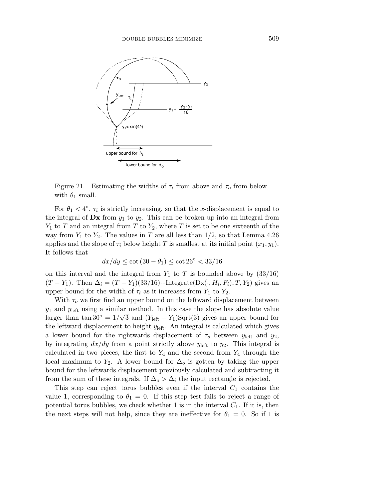

Figure 21. Estimating the widths of  $\tau_i$  from above and  $\tau_o$  from below with  $\theta_1$  small.

For  $\theta_1 < 4^\circ$ ,  $\tau_i$  is strictly increasing, so that the *x*-displacement is equal to the integral of  $\mathbf{D}x$  from  $y_1$  to  $y_2$ . This can be broken up into an integral from *Y*<sup>1</sup> to *T* and an integral from *T* to *Y*2, where *T* is set to be one sixteenth of the way from  $Y_1$  to  $Y_2$ . The values in *T* are all less than  $1/2$ , so that Lemma 4.26 applies and the slope of  $\tau_i$  below height *T* is smallest at its initial point  $(x_1, y_1)$ . It follows that

$$
dx/dy \le \cot(30 - \theta_1) \le \cot 26^\circ < 33/16
$$

on this interval and the integral from  $Y_1$  to  $T$  is bounded above by  $(33/16)$  $(T - Y_1)$ . Then  $\Delta_i = (T - Y_1)(33/16) + \text{Integrate}(Dx(\cdot, H_i, F_i), T, Y_2)$  gives an upper bound for the width of  $\tau_i$  as it increases from  $Y_1$  to  $Y_2$ .

With  $\tau_o$  we first find an upper bound on the leftward displacement between *y*<sup>1</sup> and *y*left using a similar method. In this case the slope has absolute value  $y_1$  and  $y_{\text{left}}$  using a similar method. In this case the slope has absolute value larger than tan 30<sup>°</sup> =  $1/\sqrt{3}$  and  $(Y_{\text{left}} - Y_1)$ Sqrt(3) gives an upper bound for the leftward displacement to height  $y_{\text{left}}$ . An integral is calculated which gives a lower bound for the rightwards displacement of  $\tau_o$  between  $y_{\text{left}}$  and  $y_2$ , by integrating  $dx/dy$  from a point strictly above  $y_{\text{left}}$  to  $y_2$ . This integral is calculated in two pieces, the first to  $Y_4$  and the second from  $Y_4$  through the local maximum to  $Y_2$ . A lower bound for  $\Delta_o$  is gotten by taking the upper bound for the leftwards displacement previously calculated and subtracting it from the sum of these integrals. If  $\Delta_o > \Delta_i$  the input rectangle is rejected.

This step can reject torus bubbles even if the interval  $C_1$  contains the value 1, corresponding to  $\theta_1 = 0$ . If this step test fails to reject a range of potential torus bubbles, we check whether 1 is in the interval  $C_1$ . If it is, then the next steps will not help, since they are ineffective for  $\theta_1 = 0$ . So if 1 is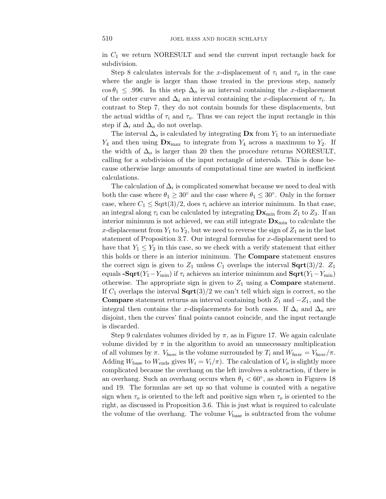in *C*<sup>1</sup> we return NORESULT and send the current input rectangle back for subdivision.

Step 8 calculates intervals for the *x*-displacement of  $\tau_i$  and  $\tau_o$  in the case where the angle is larger than those treated in the previous step, namely  $\cos \theta_1 \leq .996$ . In this step  $\Delta_o$  is an interval containing the *x*-displacement of the outer curve and  $\Delta_i$  an interval containing the *x*-displacement of  $\tau_i$ . In contrast to Step 7, they do not contain bounds for these displacements, but the actual widths of  $\tau_i$  and  $\tau_o$ . Thus we can reject the input rectangle in this step if  $\Delta_i$  and  $\Delta_o$  do not overlap.

The interval  $\Delta_o$  is calculated by integrating  $\mathbf{D}\mathbf{x}$  from  $Y_1$  to an intermediate  $Y_4$  and then using  $\mathbf{Dx}_{\text{max}}$  to integrate from  $Y_4$  across a maximum to  $Y_2$ . If the width of  $\Delta$ <sup>*o*</sup> is larger than 20 then the procedure returns NORESULT, calling for a subdivision of the input rectangle of intervals. This is done because otherwise large amounts of computational time are wasted in inefficient calculations.

The calculation of  $\Delta_i$  is complicated somewhat because we need to deal with both the case where  $\theta_1 \geq 30^\circ$  and the case where  $\theta_1 \leq 30^\circ$ . Only in the former case, where  $C_1 \leq \text{Sqrt}(3)/2$ , does  $\tau_i$  achieve an interior minimum. In that case, an integral along  $\tau_i$  can be calculated by integrating  $\mathbf{D} \mathbf{x}_{\text{min}}$  from  $Z_1$  to  $Z_3$ . If an interior minimum is not achieved, we can still integrate  $Dx_{\min}$  to calculate the x-displacement from  $Y_1$  to  $Y_2$ , but we need to reverse the sign of  $Z_1$  as in the last statement of Proposition 3.7. Our integral formulas for *x*-displacement need to have that  $Y_1 \leq Y_2$  in this case, so we check with a verify statement that either this holds or there is an interior minimum. The **Compare** statement ensures the correct sign is given to  $Z_1$  unless  $C_1$  overlaps the interval **Sqrt** $(3)/2$ .  $Z_1$ equals  $\text{-}\mathbf{Sqrt}(Y_1 - Y_{\min})$  if  $\tau_i$  achieves an interior minimum and  $\textbf{Sqrt}(Y_1 - Y_{\min})$ otherwise. The appropriate sign is given to  $Z_1$  using a **Compare** statement. If  $C_1$  overlaps the interval  $\text{Sqrt}(3)/2$  we can't tell which sign is correct, so the **Compare** statement returns an interval containing both  $Z_1$  and  $-Z_1$ , and the integral then contains the *x*-displacements for both cases. If  $\Delta_i$  and  $\Delta_o$  are disjoint, then the curves' final points cannot coincide, and the input rectangle is discarded.

Step 9 calculates volumes divided by  $\pi$ , as in Figure 17. We again calculate volume divided by  $\pi$  in the algorithm to avoid an unnecessary multiplication of all volumes by  $\pi$ .  $V_{base}$  is the volume surrounded by  $T_i$  and  $W_{base} = V_{base}/\pi$ . Adding  $W_{base}$  to  $W_{ends}$  gives  $W_i = V_i/\pi$ ). The calculation of  $V_o$  is slightly more complicated because the overhang on the left involves a subtraction, if there is an overhang. Such an overhang occurs when  $\theta_1 < 60^\circ$ , as shown in Figures 18 and 19. The formulas are set up so that volume is counted with a negative sign when  $\tau_o$  is oriented to the left and positive sign when  $\tau_o$  is oriented to the right, as discussed in Proposition 3.6. This is just what is required to calculate the volume of the overhang. The volume  $V_{base}$  is subtracted from the volume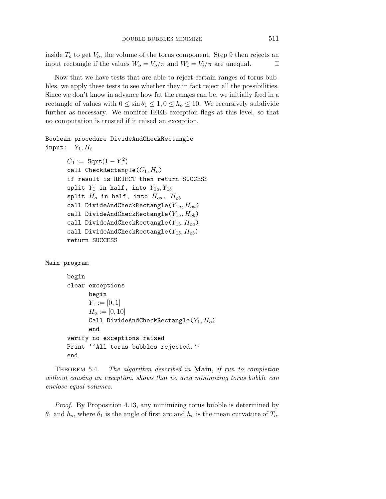inside  $T<sub>o</sub>$  to get  $V<sub>o</sub>$ , the volume of the torus component. Step 9 then rejects an input rectangle if the values  $W_o = V_o / \pi$  and  $W_i = V_i / \pi$  are unequal.  $\Box$ 

Now that we have tests that are able to reject certain ranges of torus bubbles, we apply these tests to see whether they in fact reject all the possibilities. Since we don't know in advance how fat the ranges can be, we initially feed in a rectangle of values with  $0 \le \sin \theta_1 \le 1, 0 \le h_o \le 10$ . We recursively subdivide further as necessary. We monitor IEEE exception flags at this level, so that no computation is trusted if it raised an exception.

# Boolean procedure DivideAndCheckRectangle  $input:$   $Y_1, H_i$

```
C_1 := \text{Sqrt}(1 - Y_1^2)call CheckRectangle(C1, Ho)
if result is REJECT then return SUCCESS
split Y_1 in half, into Y_{1a}, Y_{1b}split H_o in half, into H_{oa}, H_{ob}call DivideAndCheckRectangle(Y1a, Hoa)
call DivideAndCheckRectangle(Y1a, Hob)
call DivideAndCheckRectangle(Y1b, Hoa)
call DivideAndCheckRectangle(Y1b, Hob)
return SUCCESS
```
Main program

```
begin
clear exceptions
      begin
      Y_1 := [0,1]H_o := [0, 10]Call DivideAndCheckRectangle(Y1, Ho)
      end
verify no exceptions raised
Print ''All torus bubbles rejected.''
end
```
THEOREM 5.4. 5.4. The algorithm described in **Main**, if run to completion without causing an exception, shows that no area minimizing torus bubble can enclose equal volumes.

Proof. By Proposition 4.13, any minimizing torus bubble is determined by  $\theta_1$  and  $h_o$ , where  $\theta_1$  is the angle of first arc and  $h_o$  is the mean curvature of  $T_o$ .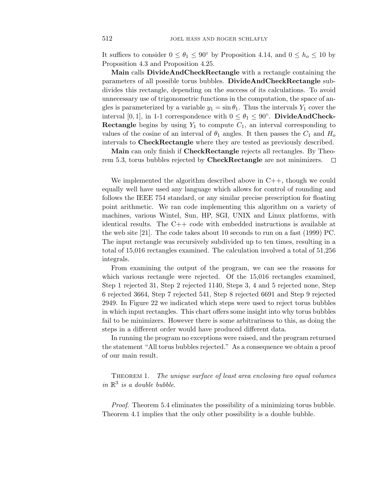It suffices to consider  $0 \le \theta_1 \le 90^\circ$  by Proposition 4.14, and  $0 \le h_o \le 10$  by Proposition 4.3 and Proposition 4.25.

**Main** calls **DivideAndCheckRectangle** with a rectangle containing the parameters of all possible torus bubbles. **DivideAndCheckRectangle** subdivides this rectangle, depending on the success of its calculations. To avoid unnecessary use of trigonometric functions in the computation, the space of angles is parameterized by a variable  $y_1 = \sin \theta_1$ . Thus the intervals  $Y_1$  cover the interval [0, 1], in 1-1 correspondence with  $0 \le \theta_1 \le 90^\circ$ . **DivideAndCheck-Rectangle** begins by using  $Y_1$  to compute  $C_1$ , an interval corresponding to values of the cosine of an interval of  $\theta_1$  angles. It then passes the  $C_1$  and  $H_o$ intervals to **CheckRectangle** where they are tested as previously described.

**Main** can only finish if **CheckRectangle** rejects all rectangles. By Theorem 5.3, torus bubbles rejected by **CheckRectangle** are not minimizers.  $\Box$ 

We implemented the algorithm described above in  $C_{++}$ , though we could equally well have used any language which allows for control of rounding and follows the IEEE 754 standard, or any similar precise prescription for floating point arithmetic. We ran code implementing this algorithm on a variety of machines, various Wintel, Sun, HP, SGI, UNIX and Linux platforms, with identical results. The C++ code with embedded instructions is available at the web site [21]. The code takes about 10 seconds to run on a fast (1999) PC. The input rectangle was recursively subdivided up to ten times, resulting in a total of 15,016 rectangles examined. The calculation involved a total of 51,256 integrals.

From examining the output of the program, we can see the reasons for which various rectangle were rejected. Of the 15,016 rectangles examined, Step 1 rejected 31, Step 2 rejected 1140, Steps 3, 4 and 5 rejected none, Step 6 rejected 3664, Step 7 rejected 541, Step 8 rejected 6691 and Step 9 rejected 2949. In Figure 22 we indicated which steps were used to reject torus bubbles in which input rectangles. This chart offers some insight into why torus bubbles fail to be minimizers. However there is some arbitrariness to this, as doing the steps in a different order would have produced different data.

In running the program no exceptions were raised, and the program returned the statement "All torus bubbles rejected." As a consequence we obtain a proof of our main result.

THEOREM 1. The unique surface of least area enclosing two equal volumes in  $\mathbb{R}^3$  is a double bubble.

Proof. Theorem 5.4 eliminates the possibility of a minimizing torus bubble. Theorem 4.1 implies that the only other possibility is a double bubble.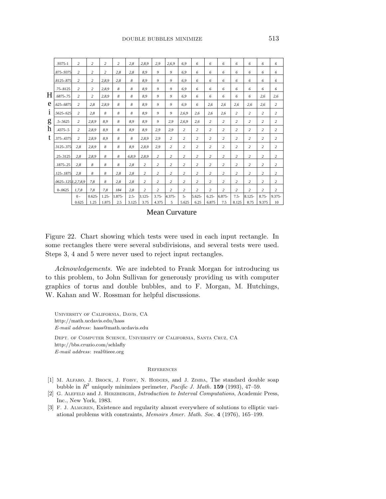|   | .9375-1                          | 2     | $\overline{c}$              | $\overline{c}$ | $\overline{2}$ | 2.8     | 2.8.9     | 2.9            | 2.6.9          | 6.9            | 6              | 6              | 6              | 6              | 6              | 6              | 6              |
|---|----------------------------------|-------|-----------------------------|----------------|----------------|---------|-----------|----------------|----------------|----------------|----------------|----------------|----------------|----------------|----------------|----------------|----------------|
|   | .875-.9375                       | 2     | 2                           | $\overline{c}$ | 2.8            | 2.8     | 8.9       | 9              | 9              | 6.9            | 6              | 6              | 6              | 6              | 6              | 6              | 6              |
|   | .8125-.875                       | 2     | 2                           | 2,8,9          | 2.8            | 8       | 8.9       | 9              | 9              | 6.9            | 6              | 6              | 6              | 6              | 6              | 6              | 6              |
|   | $.75 - .8125$                    | 2     | 2                           | 2.8.9          | 8              | 8       | 8.9       | 9              | 9              | 6.9            | 6              | 6              | 6              | 6              | 6              | 6              | 6              |
| H | .6875-.75                        | 2     | 2                           | 2.8.9          | 8              | 8       | 8.9       | 9              | 9              | 6.9            | 6              | 6              | 6              | 6              | 6              | 2.6            | 2,6            |
| e | .625-.6875                       | 2     | 2,8                         | 2.8.9          | 8              | 8       | 8.9       | 9              | 9              | 6.9            | 6              | 2,6            | 2,6            | 2,6            | 2,6            | 2.6            | 2              |
| 1 | .5625-.625                       | 2     | 2.8                         | 8              | 8              | 8       | 8.9       | 9              | 9              | 2,6,9          | 2,6            | 2,6            | 2,6            | 2              | 2              | 2              | 2              |
| g | $.5 - .5625$                     | 2     | 2,8,9                       | 8.9            | 8              | 8.9     | 8.9       | 9              | 2.9            | 2,6,9          | 2,6            | 2              | 2              | 2              | 2              | 2              | 2              |
| h | $.4375-.5$                       | 2     | 2,8,9                       | 8.9            | 8              | 8.9     | 8.9       | 2.9            | 2.9            | 2              | 2              | 2              | 2              | 2              | 2              | 2              | 2              |
| t | 375-.4375                        | 2     | 2,8,9                       | 8.9            | 8              | 8       | 2,8,9     | 2.9            | 2              | 2              | 2              | 2              | 2              | 2              | 2              | 2              | 2              |
|   | .3125-.375                       | 2.8   | 2.8.9                       | 8              | 8              | 8.9     | 2.8.9     | 2.9            | 2              | 2              | $\overline{c}$ | 2              | 2              | 2              | 2              | 2              | 2              |
|   |                                  |       |                             |                |                |         |           |                |                |                |                |                |                |                |                |                |                |
|   | .25-.3125                        | 2,8   | 2,8,9                       | 8              | 8              | 6,8,9   | 2,8,9     | 2              | 2              | 2              | 2              | 2              | 2              | 2              | 2              | 2              | 2              |
|   | .1875-.25                        | 2.8   | 8                           | 8              | 8              | 2.8     | 2         | 2              | 2              | $\overline{c}$ | $\overline{c}$ | $\overline{c}$ | $\overline{c}$ | 2              | 2              | 2              | $\overline{c}$ |
|   | .125-.1875                       | 2.8   | $\mathcal{S}_{\mathcal{S}}$ | 8              | 2.8            | 2.8     | 2         | $\overline{c}$ | $\overline{c}$ | $\overline{c}$ | $\overline{c}$ | $\overline{c}$ | $\overline{c}$ | $\overline{c}$ | $\overline{c}$ | $\overline{c}$ | $\overline{c}$ |
|   | $.0625 - .125$ , $I, 2, 7, 8, 9$ |       | 7,8                         | 8              | 2,8            | 2,8     | 2         | 2              | 2              | 2              | 2              | $\overline{c}$ | 2              | 2              | 2              | 2              | 2              |
|   | $0 - 0625$                       | 1,7,8 | 7,8                         | 7,8            | 184            | 2.8     | 2         | $\overline{c}$ | 2              | 2              | 2              | $\overline{c}$ | $\overline{c}$ | $\overline{c}$ | $\overline{c}$ | 2              | $\overline{c}$ |
|   |                                  | $0 -$ | $0.625 -$                   | $1.25 -$       | 1.875-         | $2.5 -$ | $3.125 -$ | $3.75 -$       | 4.375-         | $5 -$          | $5.625 -$      | $6.25 -$       | 6.875-         | $7.5 -$        | 8.125-         | $8.75 -$       | $9.375 -$      |
|   |                                  | 0.625 | 1.25                        | 1.875          | 2.5            | 3.125   | 3.75      | 4.375          | 5              | 5.625          | 6.25           | 6.875          | 7.5            | 8.125          | 8.75           | 9.375          | 10             |

Mean Curvature

Figure 22. Chart showing which tests were used in each input rectangle. In some rectangles there were several subdivisions, and several tests were used. Steps 3, 4 and 5 were never used to reject input rectangles.

Acknowledgements. We are indebted to Frank Morgan for introducing us to this problem, to John Sullivan for generously providing us with computer graphics of torus and double bubbles, and to F. Morgan, M. Hutchings, W. Kahan and W. Rossman for helpful discussions.

University of California, Davis, CA http://math.ucdavis.edu/hass *E-mail address*: hass@math.ucdavis.edu Dept. of Computer Science, University of California, Santa Cruz, CA http://bbs.cruzio.com/schlafly *E-mail address*: real@ieee.org

#### **REFERENCES**

- [1] M. Alfaro, J. Brock, J. Foisy, N. Hodges, and J. Zimba, The standard double soap bubble in  $R^2$  uniquely minimizes perimeter, *Pacific J. Math.* **159** (1993), 47–59.
- [2] G. Alefeld and J. Herzberger, *Introduction to Interval Computations*, Academic Press, Inc., New York, 1983.
- [3] F. J. Almgren, Existence and regularity almost everywhere of solutions to elliptic variational problems with constraints, *Memoirs Amer. Math. Soc*. **4** (1976), 165–199.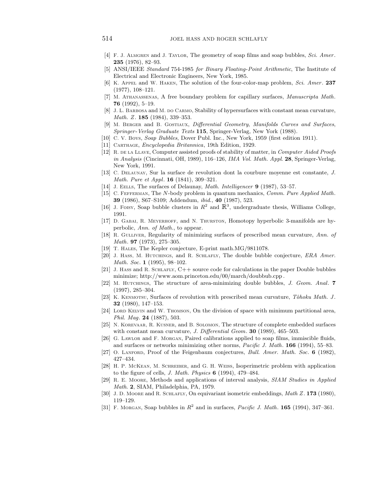- [4] F. J. Almgren and J. Taylor, The geometry of soap films and soap bubbles, *Sci. Amer*. **235** (1976), 82–93.
- [5] ANSI/IEEE *Standard* 754-1985 *for Binary Floating*-*Point Arithmetic*, The Institute of Electrical and Electronic Engineers, New York, 1985.
- [6] K. Appel and W. Haken, The solution of the four-color-map problem, *Sci. Amer*. **237** (1977), 108–121.
- [7] M. Athanassenas, A free boundary problem for capillary surfaces, *Manuscripta Math*. **76** (1992), 5–19.
- [8] J. L. BARBOSA and M. DO CARMO, Stability of hypersurfaces with constant mean curvature, *Math. Z*. **185** (1984), 339–353.
- [9] M. Berger and B. Gostiaux, *Differential Geometry*, *Manifolds Curves and Surfaces*, *Springer*-*Verlag Graduate Texts* **115**, Springer-Verlag, New York (1988).
- [10] C. V. Boys, *Soap Bubbles*, Dover Publ. Inc., New York, 1959 (first edition 1911).
- [11] Carthage, *Encyclopedia Britannica*, 19th Edition, 1929.
- [12] R. de la Llave, Computer assisted proofs of stability of matter, in *Computer Aided Proofs in Analysis* (Cincinnati, OH, 1989), 116–126, *IMA Vol. Math. Appl*. **28**, Springer-Verlag, New York, 1991.
- [13] C. Delaunay, Sur la surface de revolution dont la courbure moyenne est constante, *J. Math. Pure et Appl*. **16** (1841), 309–321.
- [14] J. EELLS, The surfaces of Delaunay, *Math. Intelligencer* 9 (1987), 53–57.
- [15] C. Fefferman, The N-body problem in quantum mechanics, *Comm. Pure Applied Math*. **39** (1986), S67–S109; Addendum, *ibid.*, **40** (1987), 523.
- [16] J. Foisy, Soap bubble clusters in  $\mathbb{R}^2$  and  $\mathbb{R}^3$ , undergraduate thesis, Williams College, 1991.
- [17] D. Gabai, R. Meyerhoff, and N. Thurston, Homotopy hyperbolic 3-manifolds are hyperbolic, *Ann. of Math.*, to appear.
- [18] R. GULLIVER, Regularity of minimizing surfaces of prescribed mean curvature, *Ann. of Math*. **97** (1973), 275–305.
- [19] T. Hales, The Kepler conjecture, E-print math.MG/9811078.
- [20] J. Hass, M. Hutchings, and R. Schlafly, The double bubble conjecture, *ERA Amer. Math. Soc*. **1** (1995), 98–102.
- [21] J. Hass and R. SCHLAFLY,  $C++$  source code for calculations in the paper Double bubbles minimize; http://www.aom.princeton.edu/00/march/doubbub.cpp .
- [22] M. Hutchings, The structure of area-minimizing double bubbles, *J. Geom. Anal*. **7** (1997), 285–304.
- [23] K. KENMOTSU, Surfaces of revolution with prescribed mean curvature, *Tôhoku Math. J*. **32** (1980), 147–153.
- [24] LORD KELVIN and W. Thomson, On the division of space with minimum partitional area, *Phil. Mag*. **24** (1887), 503.
- [25] N. Korevaar, R. Kusner, and B. Solomon, The structure of complete embedded surfaces with constant mean curvature, *J. Differential Geom*. **30** (1989), 465–503.
- [26] G. Lawlor and F. Morgan, Paired calibrations applied to soap films, immiscible fluids, and surfaces or networks minimizing other norms, *Pacific J. Math*. **166** (1994), 55–83.
- [27] O. Lanford, Proof of the Feigenbaum conjectures, *Bull. Amer. Math. Soc*. **6** (1982), 427–434.
- [28] H. P. McKean, M. Schreiber, and G. H. Weiss, Isoperimetric problem with application to the figure of cells, *J. Math. Physics* **6** (1994), 479–484.
- [29] R. E. Moore, Methods and applications of interval analysis, *SIAM Studies in Applied Math*. **2**, SIAM, Philadelphia, PA, 1979.
- [30] J. D. Moore and R. SCHLAFLY, On equivariant isometric embeddings, Math Z. 173 (1980), 119–129.
- [31] F. Morgan, Soap bubbles in  $R^2$  and in surfaces, *Pacific J. Math.* **165** (1994), 347–361.